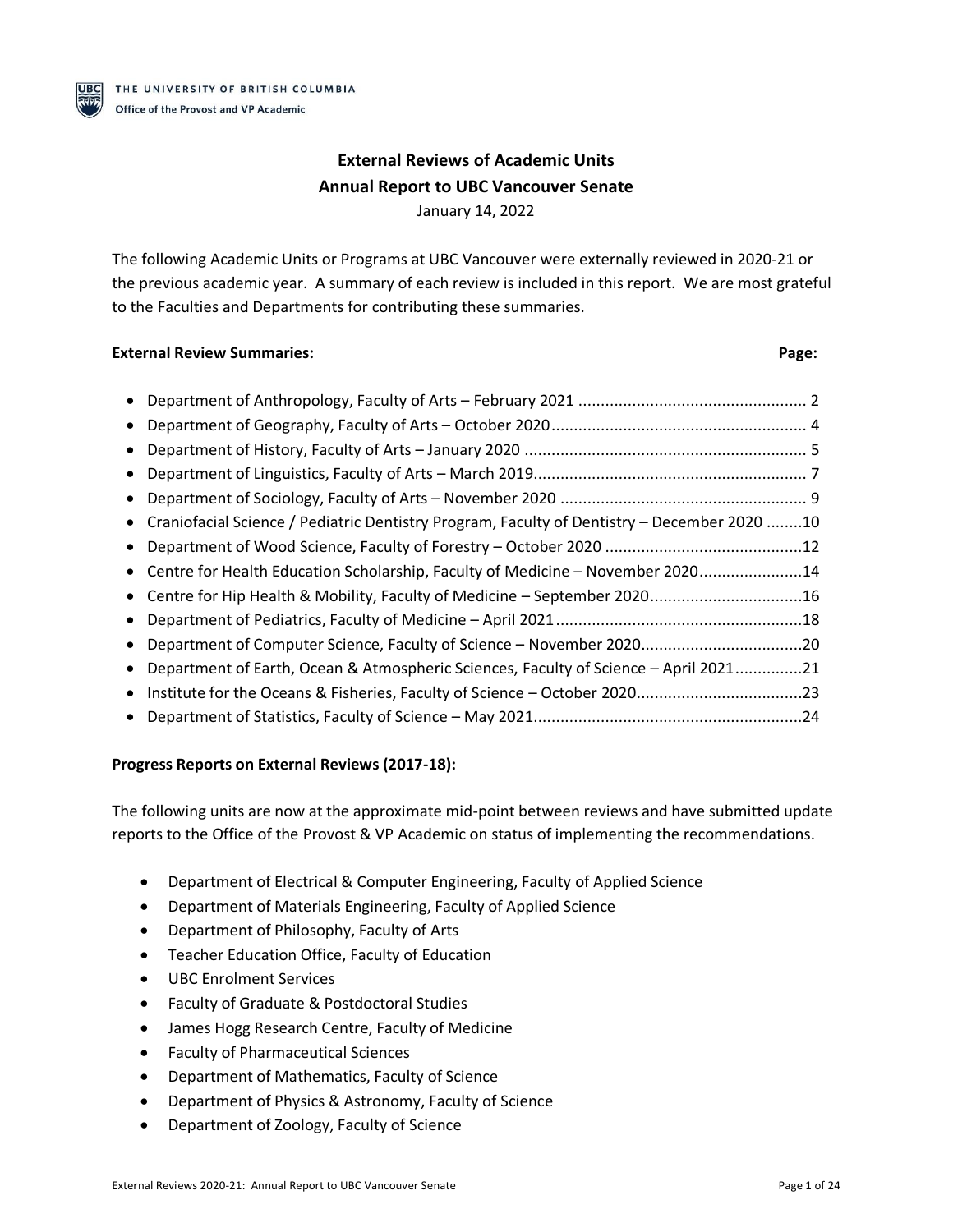

# **External Reviews of Academic Units Annual Report to UBC Vancouver Senate**

January 14, 2022

The following Academic Units or Programs at UBC Vancouver were externally reviewed in 2020-21 or the previous academic year. A summary of each review is included in this report. We are most grateful to the Faculties and Departments for contributing these summaries.

## **External Review Summaries: Page:**

| $\bullet$ |                                                                                               |  |
|-----------|-----------------------------------------------------------------------------------------------|--|
| $\bullet$ |                                                                                               |  |
| $\bullet$ |                                                                                               |  |
|           |                                                                                               |  |
|           | • Craniofacial Science / Pediatric Dentistry Program, Faculty of Dentistry - December 2020 10 |  |
| $\bullet$ |                                                                                               |  |
|           | • Centre for Health Education Scholarship, Faculty of Medicine - November 202014              |  |
|           | • Centre for Hip Health & Mobility, Faculty of Medicine - September 202016                    |  |
| $\bullet$ |                                                                                               |  |
|           | Department of Computer Science, Faculty of Science - November 202020                          |  |
| $\bullet$ | Department of Earth, Ocean & Atmospheric Sciences, Faculty of Science - April 202121          |  |
|           | • Institute for the Oceans & Fisheries, Faculty of Science - October 202023                   |  |
| $\bullet$ |                                                                                               |  |
|           |                                                                                               |  |

## **Progress Reports on External Reviews (2017-18):**

The following units are now at the approximate mid-point between reviews and have submitted update reports to the Office of the Provost & VP Academic on status of implementing the recommendations.

- Department of Electrical & Computer Engineering, Faculty of Applied Science
- Department of Materials Engineering, Faculty of Applied Science
- Department of Philosophy, Faculty of Arts
- Teacher Education Office, Faculty of Education
- UBC Enrolment Services
- Faculty of Graduate & Postdoctoral Studies
- James Hogg Research Centre, Faculty of Medicine
- Faculty of Pharmaceutical Sciences
- Department of Mathematics, Faculty of Science
- Department of Physics & Astronomy, Faculty of Science
- Department of Zoology, Faculty of Science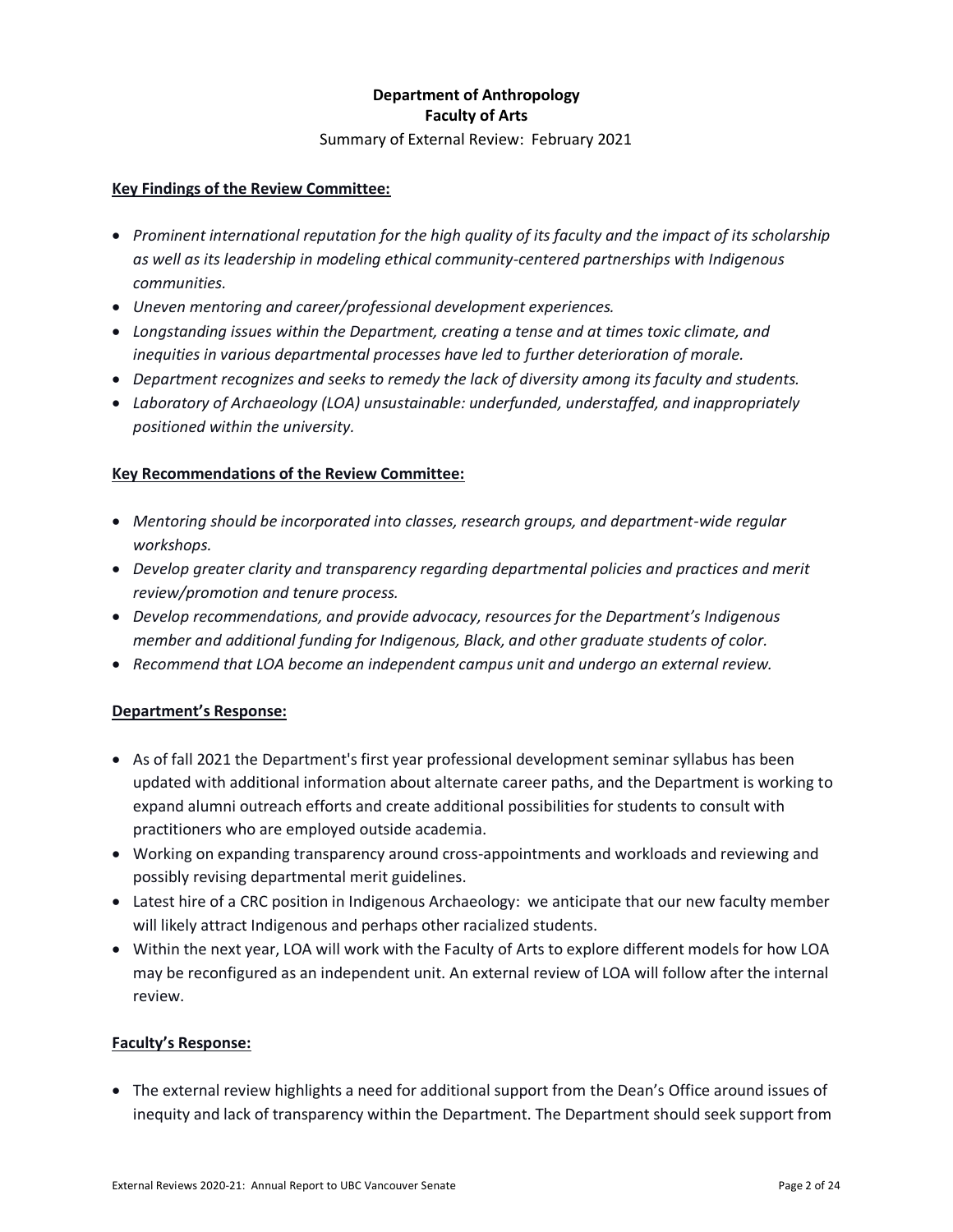# **Department of Anthropology Faculty of Arts**

Summary of External Review: February 2021

## **Key Findings of the Review Committee:**

- *Prominent international reputation for the high quality of its faculty and the impact of its scholarship as well as its leadership in modeling ethical community-centered partnerships with Indigenous communities.*
- *Uneven mentoring and career/professional development experiences.*
- *Longstanding issues within the Department, creating a tense and at times toxic climate, and inequities in various departmental processes have led to further deterioration of morale.*
- *Department recognizes and seeks to remedy the lack of diversity among its faculty and students.*
- *Laboratory of Archaeology (LOA) unsustainable: underfunded, understaffed, and inappropriately positioned within the university.*

## **Key Recommendations of the Review Committee:**

- *Mentoring should be incorporated into classes, research groups, and department-wide regular workshops.*
- *Develop greater clarity and transparency regarding departmental policies and practices and merit review/promotion and tenure process.*
- *Develop recommendations, and provide advocacy, resources for the Department's Indigenous member and additional funding for Indigenous, Black, and other graduate students of color.*
- *Recommend that LOA become an independent campus unit and undergo an external review.*

## **Department's Response:**

- As of fall 2021 the Department's first year professional development seminar syllabus has been updated with additional information about alternate career paths, and the Department is working to expand alumni outreach efforts and create additional possibilities for students to consult with practitioners who are employed outside academia.
- Working on expanding transparency around cross-appointments and workloads and reviewing and possibly revising departmental merit guidelines.
- Latest hire of a CRC position in Indigenous Archaeology: we anticipate that our new faculty member will likely attract Indigenous and perhaps other racialized students.
- Within the next year, LOA will work with the Faculty of Arts to explore different models for how LOA may be reconfigured as an independent unit. An external review of LOA will follow after the internal review.

#### **Faculty's Response:**

• The external review highlights a need for additional support from the Dean's Office around issues of inequity and lack of transparency within the Department. The Department should seek support from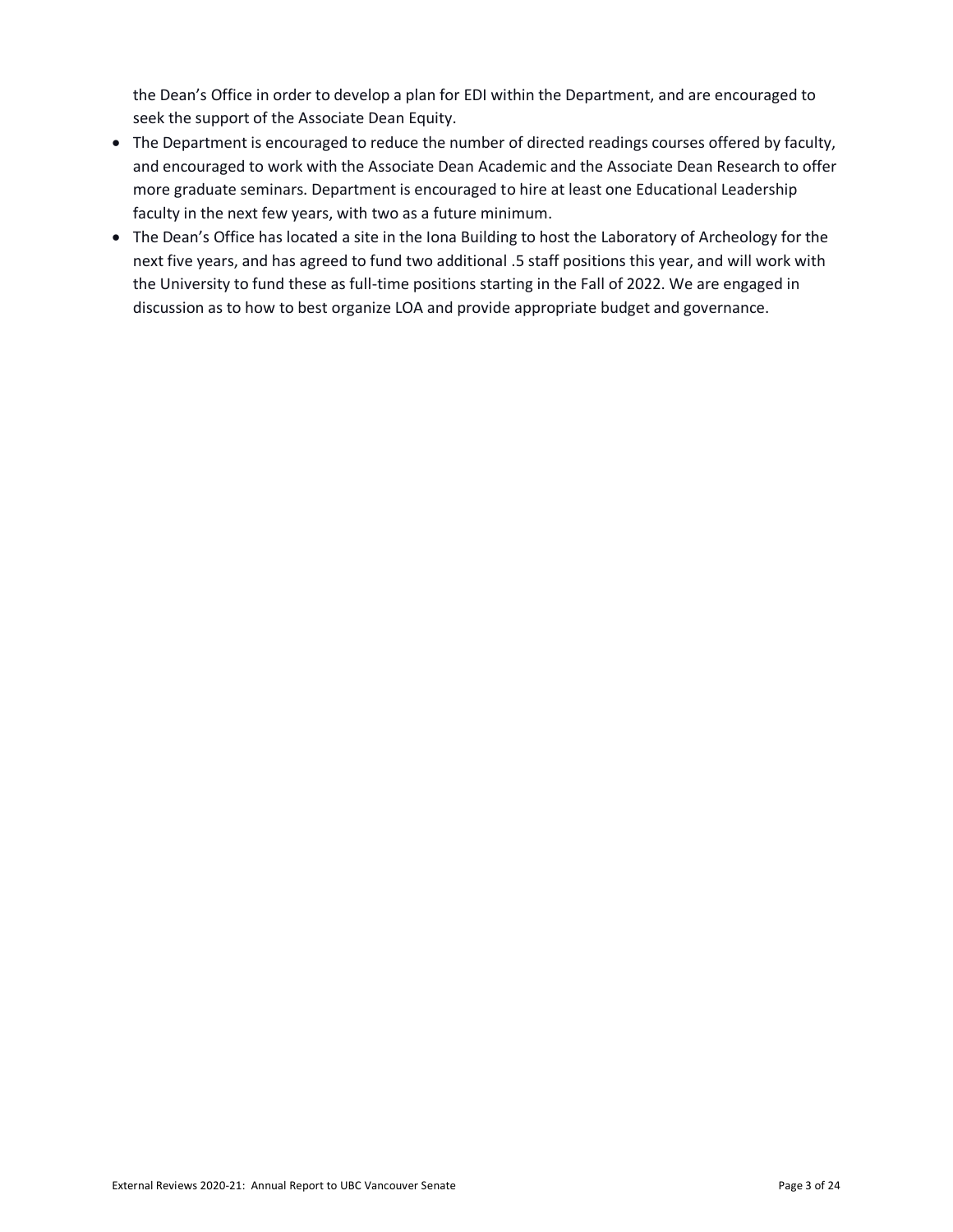the Dean's Office in order to develop a plan for EDI within the Department, and are encouraged to seek the support of the Associate Dean Equity.

- The Department is encouraged to reduce the number of directed readings courses offered by faculty, and encouraged to work with the Associate Dean Academic and the Associate Dean Research to offer more graduate seminars. Department is encouraged to hire at least one Educational Leadership faculty in the next few years, with two as a future minimum.
- The Dean's Office has located a site in the Iona Building to host the Laboratory of Archeology for the next five years, and has agreed to fund two additional .5 staff positions this year, and will work with the University to fund these as full-time positions starting in the Fall of 2022. We are engaged in discussion as to how to best organize LOA and provide appropriate budget and governance.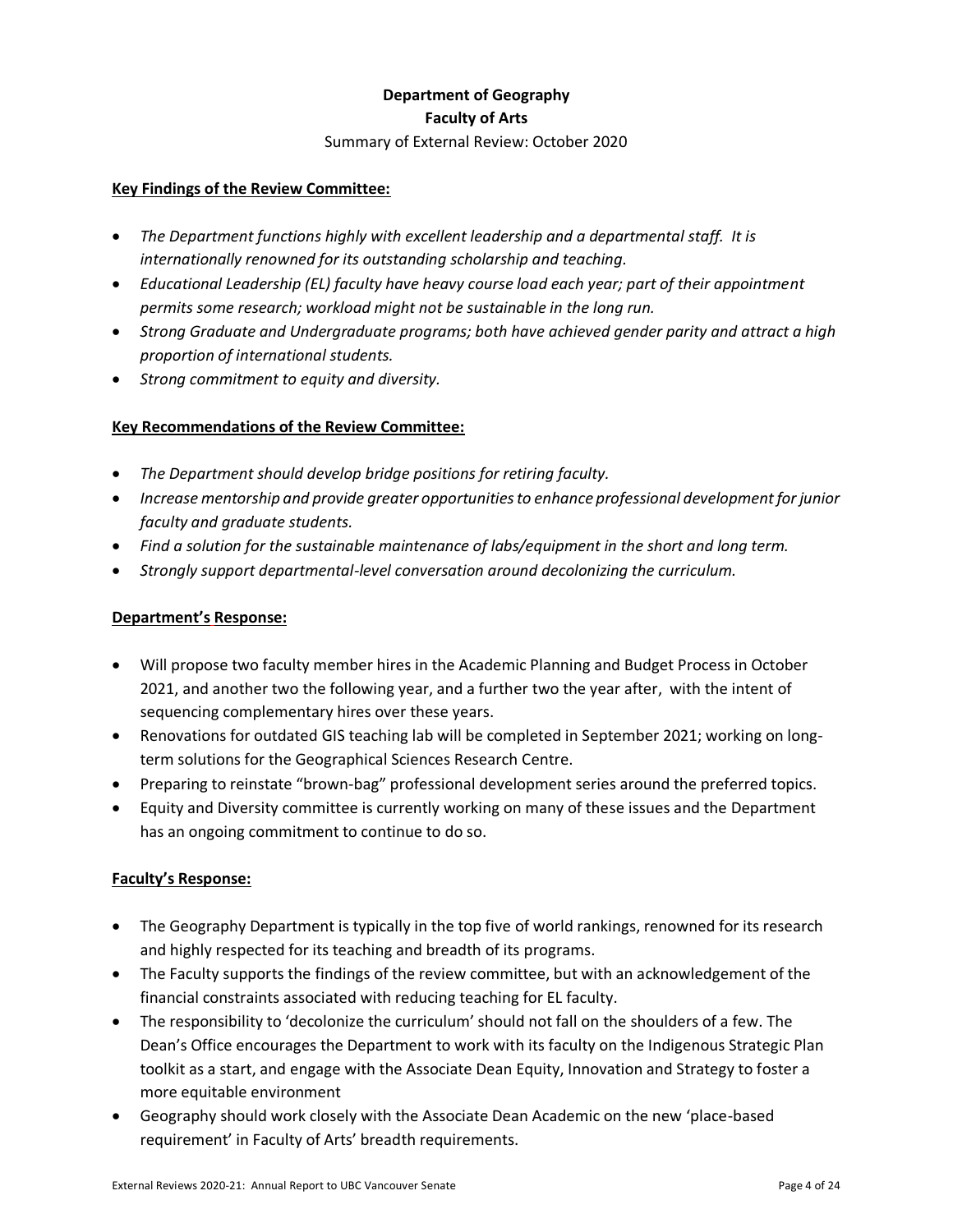# **Department of Geography Faculty of Arts**

#### Summary of External Review: October 2020

#### **Key Findings of the Review Committee:**

- *The Department functions highly with excellent leadership and a departmental staff. It is internationally renowned for its outstanding scholarship and teaching.*
- *Educational Leadership (EL) faculty have heavy course load each year; part of their appointment permits some research; workload might not be sustainable in the long run.*
- *Strong Graduate and Undergraduate programs; both have achieved gender parity and attract a high proportion of international students.*
- *Strong commitment to equity and diversity.*

## **Key Recommendations of the Review Committee:**

- *The Department should develop bridge positions for retiring faculty.*
- *Increase mentorship and provide greater opportunities to enhance professional development for junior faculty and graduate students.*
- *Find a solution for the sustainable maintenance of labs/equipment in the short and long term.*
- *Strongly support departmental-level conversation around decolonizing the curriculum.*

## **Department's Response:**

- Will propose two faculty member hires in the Academic Planning and Budget Process in October 2021, and another two the following year, and a further two the year after, with the intent of sequencing complementary hires over these years.
- Renovations for outdated GIS teaching lab will be completed in September 2021; working on longterm solutions for the Geographical Sciences Research Centre.
- Preparing to reinstate "brown-bag" professional development series around the preferred topics.
- Equity and Diversity committee is currently working on many of these issues and the Department has an ongoing commitment to continue to do so.

- The Geography Department is typically in the top five of world rankings, renowned for its research and highly respected for its teaching and breadth of its programs.
- The Faculty supports the findings of the review committee, but with an acknowledgement of the financial constraints associated with reducing teaching for EL faculty.
- The responsibility to 'decolonize the curriculum' should not fall on the shoulders of a few. The Dean's Office encourages the Department to work with its faculty on the Indigenous Strategic Plan toolkit as a start, and engage with the Associate Dean Equity, Innovation and Strategy to foster a more equitable environment
- Geography should work closely with the Associate Dean Academic on the new 'place-based requirement' in Faculty of Arts' breadth requirements.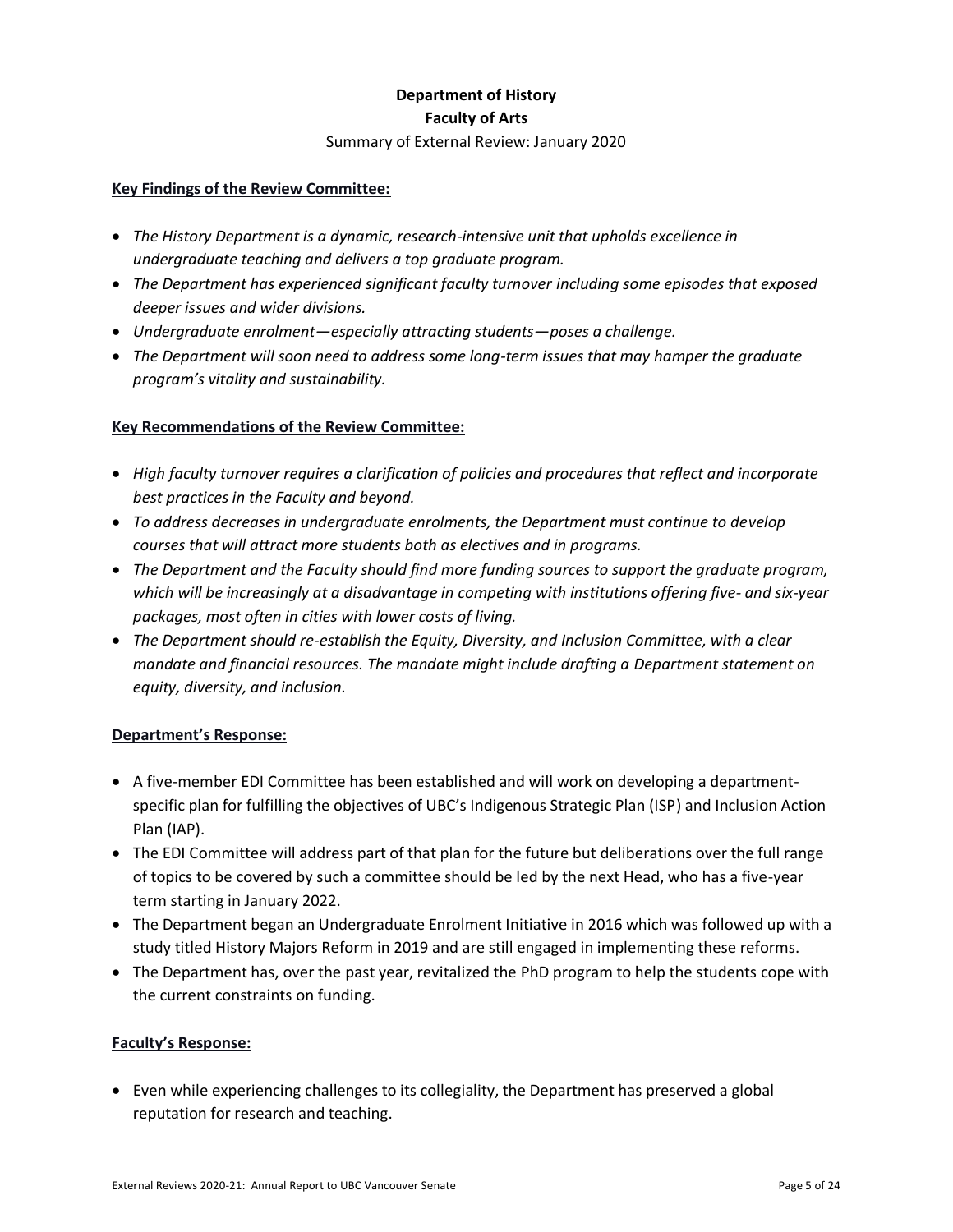## **Department of History Faculty of Arts**

#### Summary of External Review: January 2020

#### **Key Findings of the Review Committee:**

- *The History Department is a dynamic, research-intensive unit that upholds excellence in undergraduate teaching and delivers a top graduate program.*
- *The Department has experienced significant faculty turnover including some episodes that exposed deeper issues and wider divisions.*
- *Undergraduate enrolment—especially attracting students—poses a challenge.*
- *The Department will soon need to address some long-term issues that may hamper the graduate program's vitality and sustainability.*

#### **Key Recommendations of the Review Committee:**

- *High faculty turnover requires a clarification of policies and procedures that reflect and incorporate best practices in the Faculty and beyond.*
- *To address decreases in undergraduate enrolments, the Department must continue to develop courses that will attract more students both as electives and in programs.*
- *The Department and the Faculty should find more funding sources to support the graduate program, which will be increasingly at a disadvantage in competing with institutions offering five- and six-year packages, most often in cities with lower costs of living.*
- *The Department should re-establish the Equity, Diversity, and Inclusion Committee, with a clear mandate and financial resources. The mandate might include drafting a Department statement on equity, diversity, and inclusion.*

#### **Department's Response:**

- A five-member EDI Committee has been established and will work on developing a departmentspecific plan for fulfilling the objectives of UBC's Indigenous Strategic Plan (ISP) and Inclusion Action Plan (IAP).
- The EDI Committee will address part of that plan for the future but deliberations over the full range of topics to be covered by such a committee should be led by the next Head, who has a five-year term starting in January 2022.
- The Department began an Undergraduate Enrolment Initiative in 2016 which was followed up with a study titled History Majors Reform in 2019 and are still engaged in implementing these reforms.
- The Department has, over the past year, revitalized the PhD program to help the students cope with the current constraints on funding.

#### **Faculty's Response:**

• Even while experiencing challenges to its collegiality, the Department has preserved a global reputation for research and teaching.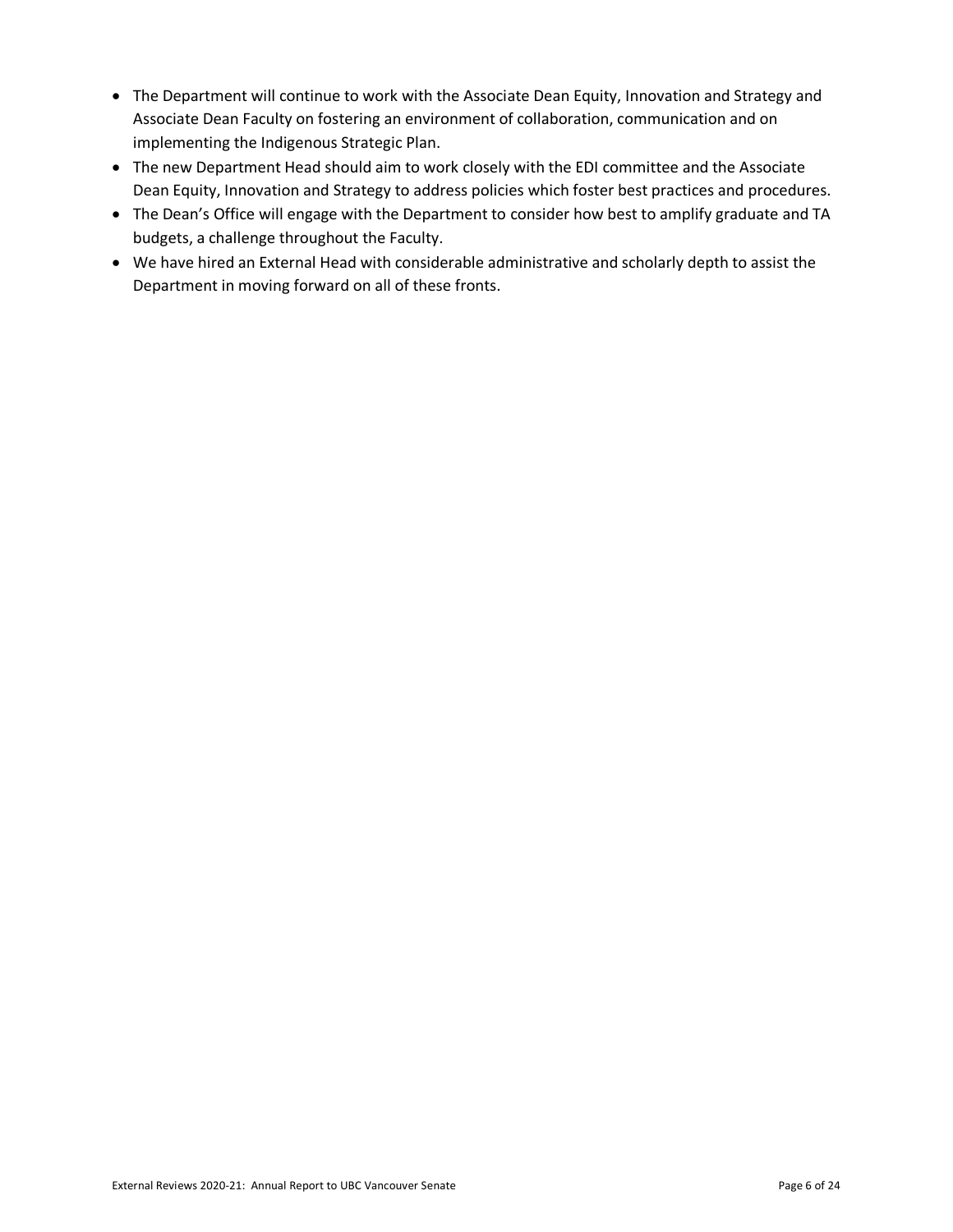- The Department will continue to work with the Associate Dean Equity, Innovation and Strategy and Associate Dean Faculty on fostering an environment of collaboration, communication and on implementing the Indigenous Strategic Plan.
- The new Department Head should aim to work closely with the EDI committee and the Associate Dean Equity, Innovation and Strategy to address policies which foster best practices and procedures.
- The Dean's Office will engage with the Department to consider how best to amplify graduate and TA budgets, a challenge throughout the Faculty.
- We have hired an External Head with considerable administrative and scholarly depth to assist the Department in moving forward on all of these fronts.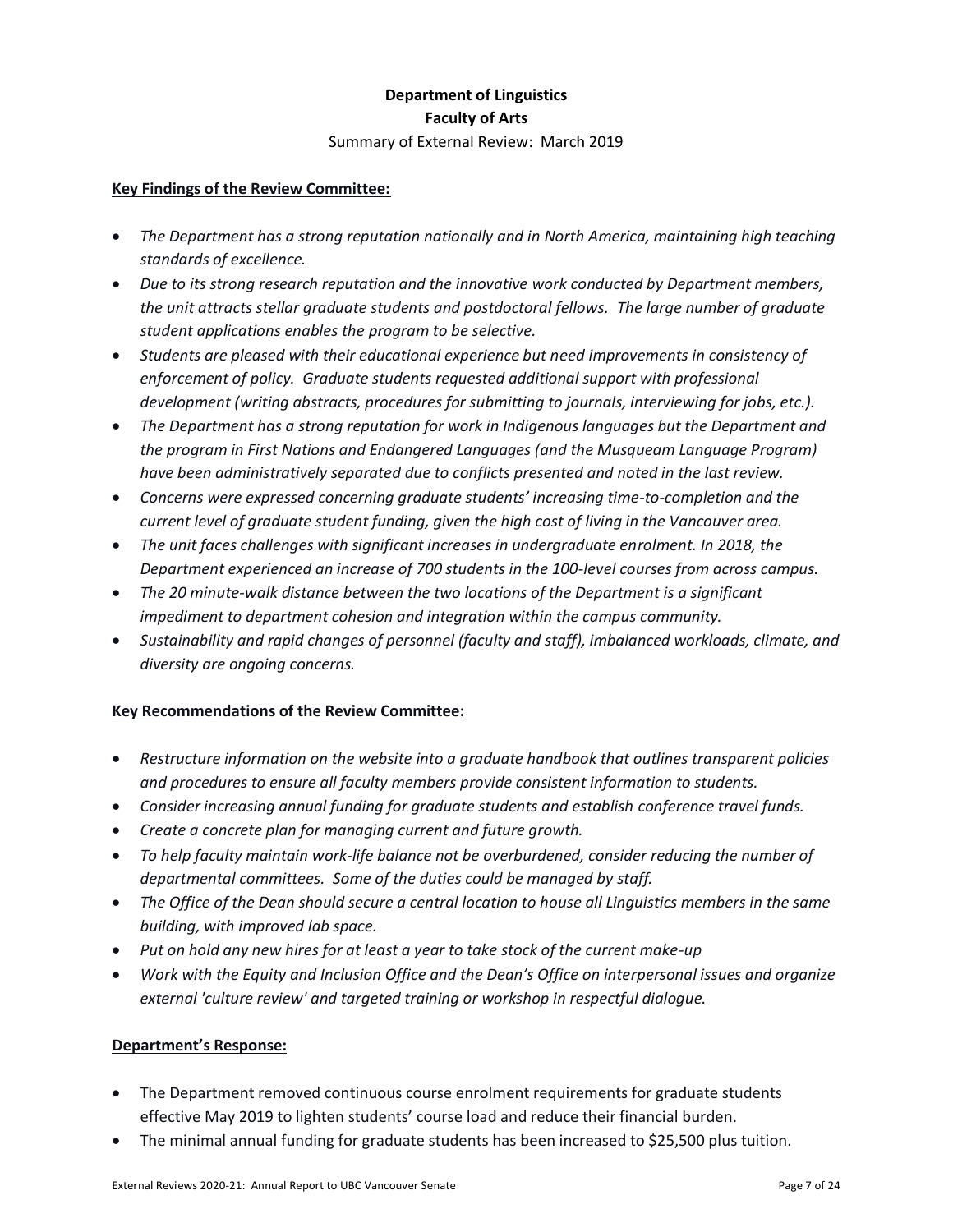## **Department of Linguistics Faculty of Arts** Summary of External Review: March 2019

#### **Key Findings of the Review Committee:**

- *The Department has a strong reputation nationally and in North America, maintaining high teaching standards of excellence.*
- *Due to its strong research reputation and the innovative work conducted by Department members, the unit attracts stellar graduate students and postdoctoral fellows. The large number of graduate student applications enables the program to be selective.*
- *Students are pleased with their educational experience but need improvements in consistency of enforcement of policy. Graduate students requested additional support with professional development (writing abstracts, procedures for submitting to journals, interviewing for jobs, etc.).*
- *The Department has a strong reputation for work in Indigenous languages but the Department and the program in First Nations and Endangered Languages (and the Musqueam Language Program) have been administratively separated due to conflicts presented and noted in the last review.*
- *Concerns were expressed concerning graduate students' increasing time-to-completion and the current level of graduate student funding, given the high cost of living in the Vancouver area.*
- *The unit faces challenges with significant increases in undergraduate enrolment. In 2018, the Department experienced an increase of 700 students in the 100-level courses from across campus.*
- *The 20 minute-walk distance between the two locations of the Department is a significant impediment to department cohesion and integration within the campus community.*
- *Sustainability and rapid changes of personnel (faculty and staff), imbalanced workloads, climate, and diversity are ongoing concerns.*

#### **Key Recommendations of the Review Committee:**

- *Restructure information on the website into a graduate handbook that outlines transparent policies and procedures to ensure all faculty members provide consistent information to students.*
- *Consider increasing annual funding for graduate students and establish conference travel funds.*
- *Create a concrete plan for managing current and future growth.*
- *To help faculty maintain work-life balance not be overburdened, consider reducing the number of departmental committees. Some of the duties could be managed by staff.*
- *The Office of the Dean should secure a central location to house all Linguistics members in the same building, with improved lab space.*
- *Put on hold any new hires for at least a year to take stock of the current make-up*
- *Work with the Equity and Inclusion Office and the Dean's Office on interpersonal issues and organize external 'culture review' and targeted training or workshop in respectful dialogue.*

- The Department removed continuous course enrolment requirements for graduate students effective May 2019 to lighten students' course load and reduce their financial burden.
- The minimal annual funding for graduate students has been increased to \$25,500 plus tuition.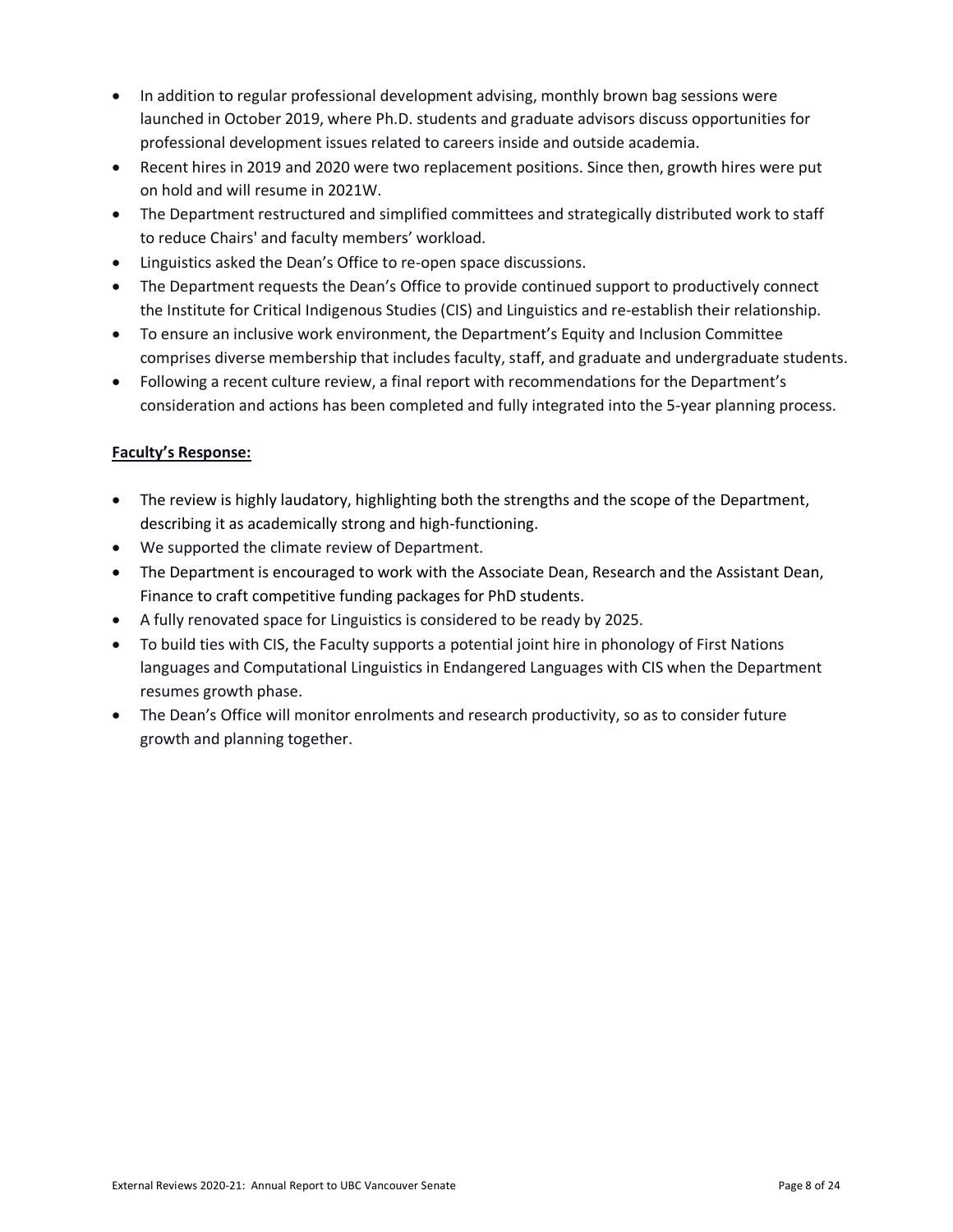- In addition to regular professional development advising, monthly brown bag sessions were launched in October 2019, where Ph.D. students and graduate advisors discuss opportunities for professional development issues related to careers inside and outside academia.
- Recent hires in 2019 and 2020 were two replacement positions. Since then, growth hires were put on hold and will resume in 2021W.
- The Department restructured and simplified committees and strategically distributed work to staff to reduce Chairs' and faculty members' workload.
- Linguistics asked the Dean's Office to re-open space discussions.
- The Department requests the Dean's Office to provide continued support to productively connect the Institute for Critical Indigenous Studies (CIS) and Linguistics and re-establish their relationship.
- To ensure an inclusive work environment, the Department's Equity and Inclusion Committee comprises diverse membership that includes faculty, staff, and graduate and undergraduate students.
- Following a recent culture review, a final report with recommendations for the Department's consideration and actions has been completed and fully integrated into the 5-year planning process.

- The review is highly laudatory, highlighting both the strengths and the scope of the Department, describing it as academically strong and high-functioning.
- We supported the climate review of Department.
- The Department is encouraged to work with the Associate Dean, Research and the Assistant Dean, Finance to craft competitive funding packages for PhD students.
- A fully renovated space for Linguistics is considered to be ready by 2025.
- To build ties with CIS, the Faculty supports a potential joint hire in phonology of First Nations languages and Computational Linguistics in Endangered Languages with CIS when the Department resumes growth phase.
- The Dean's Office will monitor enrolments and research productivity, so as to consider future growth and planning together.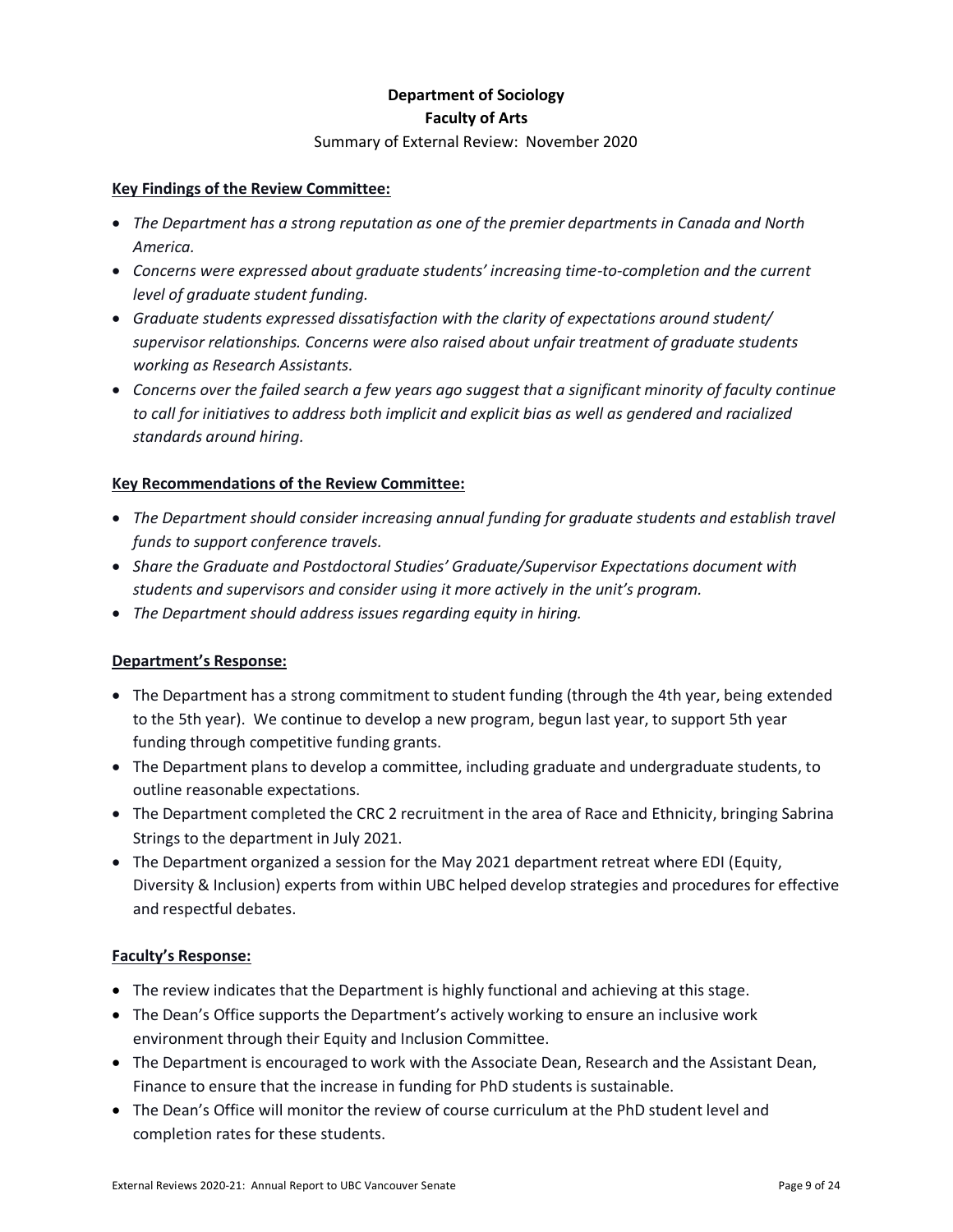## **Department of Sociology Faculty of Arts**

#### Summary of External Review: November 2020

#### **Key Findings of the Review Committee:**

- *The Department has a strong reputation as one of the premier departments in Canada and North America.*
- *Concerns were expressed about graduate students' increasing time-to-completion and the current level of graduate student funding.*
- *Graduate students expressed dissatisfaction with the clarity of expectations around student/ supervisor relationships. Concerns were also raised about unfair treatment of graduate students working as Research Assistants.*
- *Concerns over the failed search a few years ago suggest that a significant minority of faculty continue to call for initiatives to address both implicit and explicit bias as well as gendered and racialized standards around hiring.*

#### **Key Recommendations of the Review Committee:**

- *The Department should consider increasing annual funding for graduate students and establish travel funds to support conference travels.*
- *Share the Graduate and Postdoctoral Studies' Graduate/Supervisor Expectations document with students and supervisors and consider using it more actively in the unit's program.*
- *The Department should address issues regarding equity in hiring.*

#### **Department's Response:**

- The Department has a strong commitment to student funding (through the 4th year, being extended to the 5th year). We continue to develop a new program, begun last year, to support 5th year funding through competitive funding grants.
- The Department plans to develop a committee, including graduate and undergraduate students, to outline reasonable expectations.
- The Department completed the CRC 2 recruitment in the area of Race and Ethnicity, bringing Sabrina Strings to the department in July 2021.
- The Department organized a session for the May 2021 department retreat where EDI (Equity, Diversity & Inclusion) experts from within UBC helped develop strategies and procedures for effective and respectful debates.

- The review indicates that the Department is highly functional and achieving at this stage.
- The Dean's Office supports the Department's actively working to ensure an inclusive work environment through their Equity and Inclusion Committee.
- The Department is encouraged to work with the Associate Dean, Research and the Assistant Dean, Finance to ensure that the increase in funding for PhD students is sustainable.
- The Dean's Office will monitor the review of course curriculum at the PhD student level and completion rates for these students.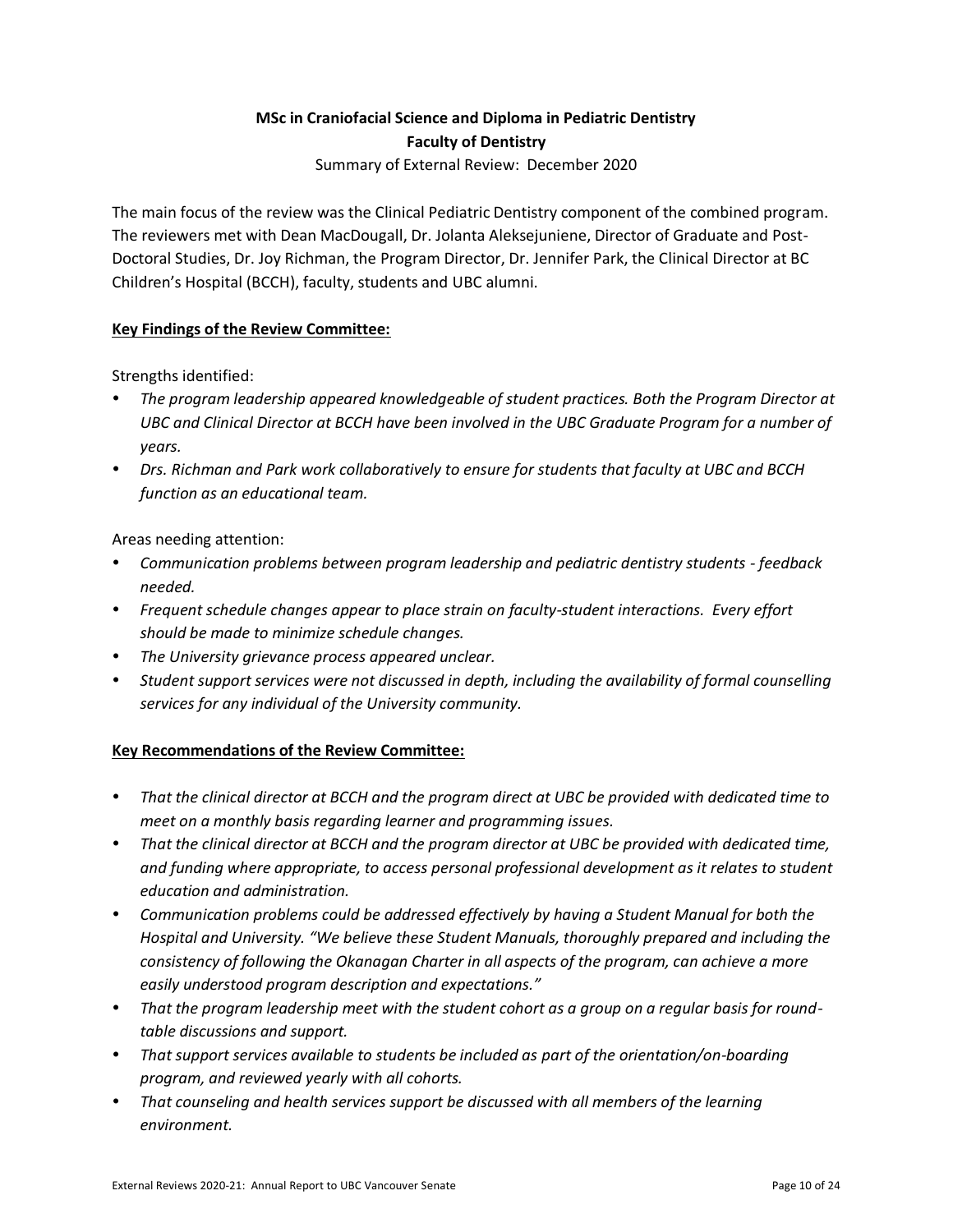# **MSc in Craniofacial Science and Diploma in Pediatric Dentistry Faculty of Dentistry**

Summary of External Review: December 2020

The main focus of the review was the Clinical Pediatric Dentistry component of the combined program. The reviewers met with Dean MacDougall, Dr. Jolanta Aleksejuniene, Director of Graduate and Post-Doctoral Studies, Dr. Joy Richman, the Program Director, Dr. Jennifer Park, the Clinical Director at BC Children's Hospital (BCCH), faculty, students and UBC alumni.

## **Key Findings of the Review Committee:**

Strengths identified:

- *The program leadership appeared knowledgeable of student practices. Both the Program Director at UBC and Clinical Director at BCCH have been involved in the UBC Graduate Program for a number of years.*
- *Drs. Richman and Park work collaboratively to ensure for students that faculty at UBC and BCCH function as an educational team.*

Areas needing attention:

- *Communication problems between program leadership and pediatric dentistry students - feedback needed.*
- *Frequent schedule changes appear to place strain on faculty-student interactions. Every effort should be made to minimize schedule changes.*
- *The University grievance process appeared unclear.*
- *Student support services were not discussed in depth, including the availability of formal counselling services for any individual of the University community.*

#### **Key Recommendations of the Review Committee:**

- *That the clinical director at BCCH and the program direct at UBC be provided with dedicated time to meet on a monthly basis regarding learner and programming issues.*
- *That the clinical director at BCCH and the program director at UBC be provided with dedicated time, and funding where appropriate, to access personal professional development as it relates to student education and administration.*
- *Communication problems could be addressed effectively by having a Student Manual for both the Hospital and University. "We believe these Student Manuals, thoroughly prepared and including the consistency of following the Okanagan Charter in all aspects of the program, can achieve a more easily understood program description and expectations."*
- *That the program leadership meet with the student cohort as a group on a regular basis for roundtable discussions and support.*
- *That support services available to students be included as part of the orientation/on-boarding program, and reviewed yearly with all cohorts.*
- *That counseling and health services support be discussed with all members of the learning environment.*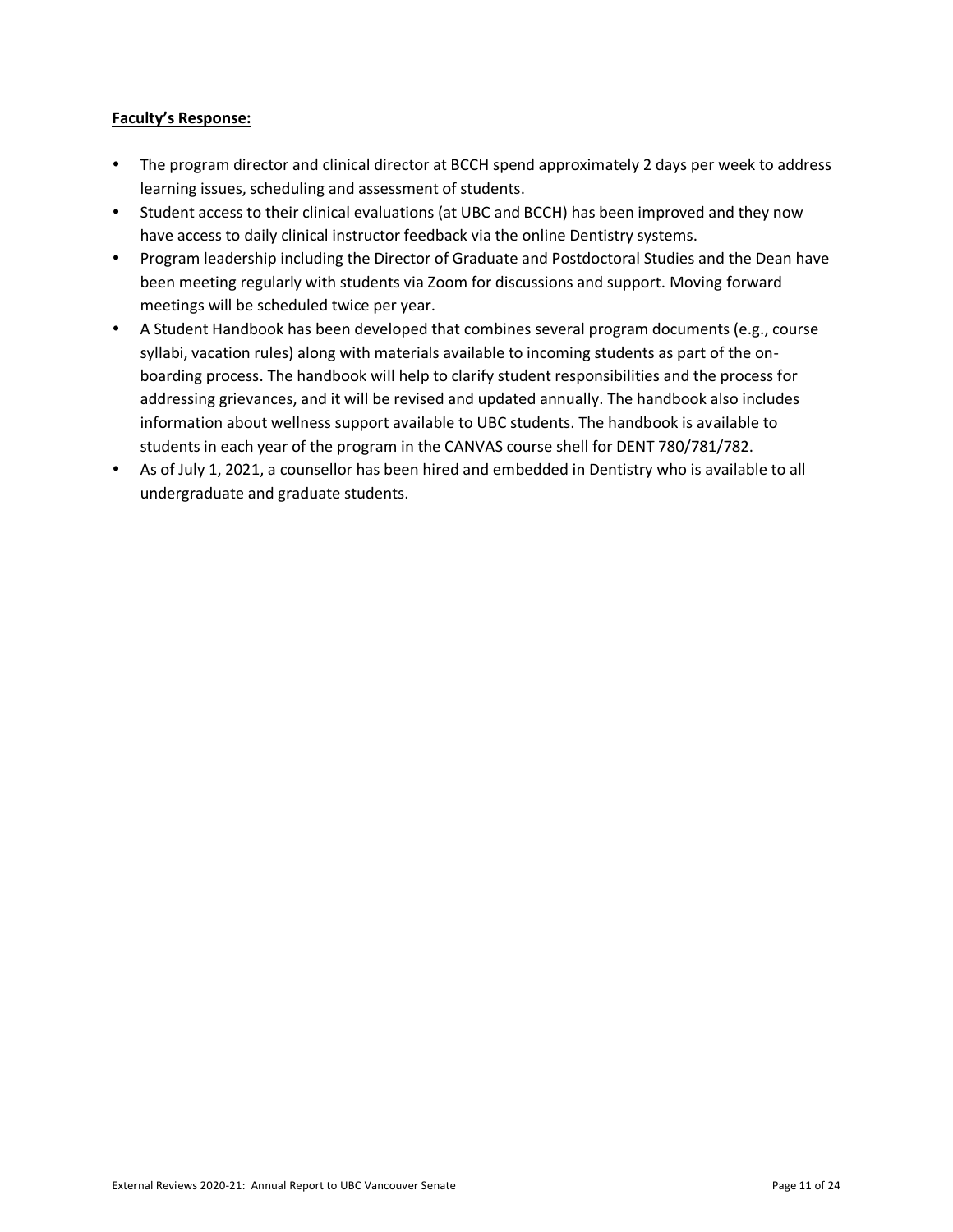- The program director and clinical director at BCCH spend approximately 2 days per week to address learning issues, scheduling and assessment of students.
- Student access to their clinical evaluations (at UBC and BCCH) has been improved and they now have access to daily clinical instructor feedback via the online Dentistry systems.
- Program leadership including the Director of Graduate and Postdoctoral Studies and the Dean have been meeting regularly with students via Zoom for discussions and support. Moving forward meetings will be scheduled twice per year.
- A Student Handbook has been developed that combines several program documents (e.g., course syllabi, vacation rules) along with materials available to incoming students as part of the onboarding process. The handbook will help to clarify student responsibilities and the process for addressing grievances, and it will be revised and updated annually. The handbook also includes information about wellness support available to UBC students. The handbook is available to students in each year of the program in the CANVAS course shell for DENT 780/781/782.
- As of July 1, 2021, a counsellor has been hired and embedded in Dentistry who is available to all undergraduate and graduate students.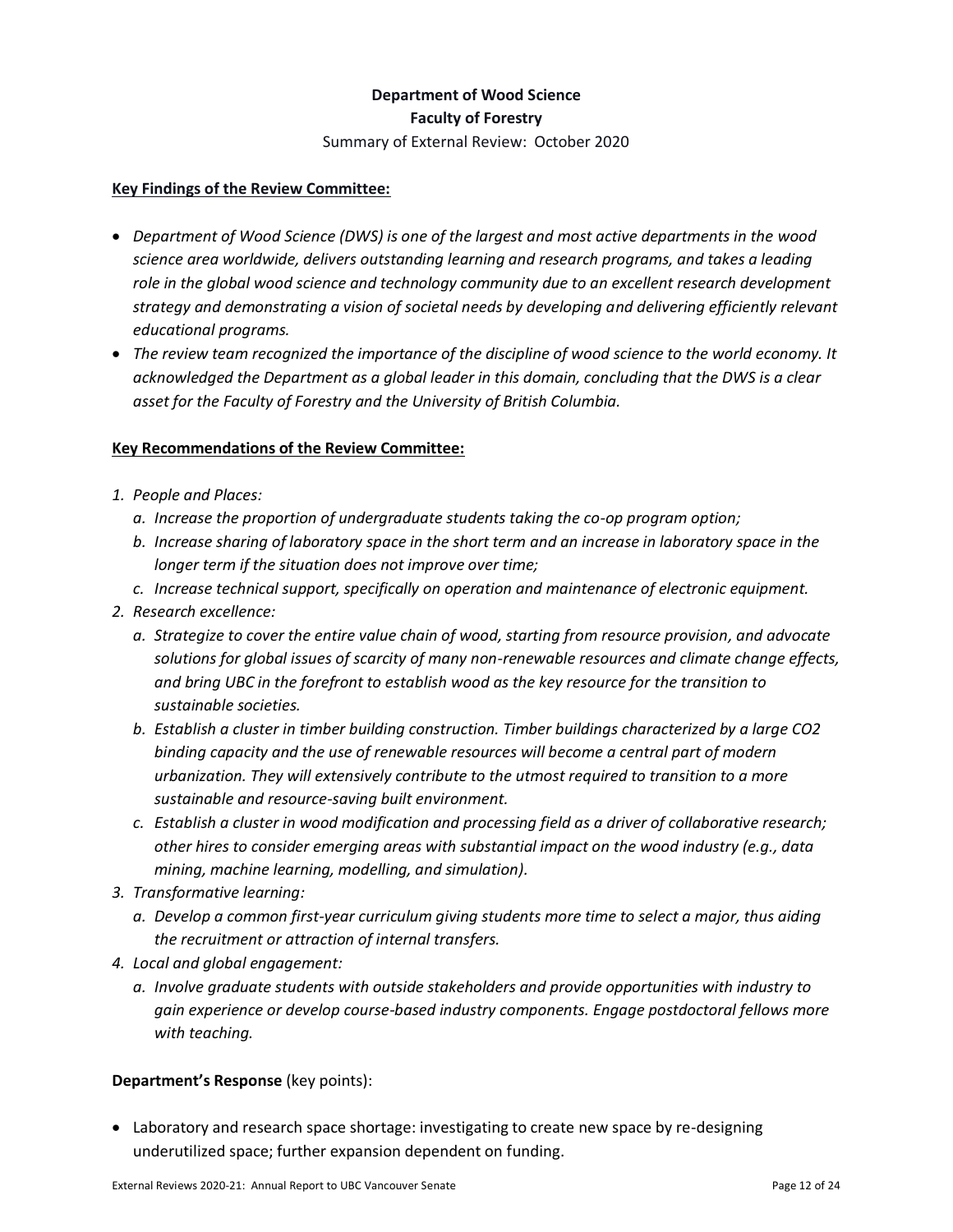## **Department of Wood Science Faculty of Forestry**

Summary of External Review: October 2020

#### **Key Findings of the Review Committee:**

- *Department of Wood Science (DWS) is one of the largest and most active departments in the wood science area worldwide, delivers outstanding learning and research programs, and takes a leading role in the global wood science and technology community due to an excellent research development strategy and demonstrating a vision of societal needs by developing and delivering efficiently relevant educational programs.*
- *The review team recognized the importance of the discipline of wood science to the world economy. It acknowledged the Department as a global leader in this domain, concluding that the DWS is a clear asset for the Faculty of Forestry and the University of British Columbia.*

#### **Key Recommendations of the Review Committee:**

- *1. People and Places:* 
	- *a. Increase the proportion of undergraduate students taking the co-op program option;*
	- *b. Increase sharing of laboratory space in the short term and an increase in laboratory space in the longer term if the situation does not improve over time;*
	- *c. Increase technical support, specifically on operation and maintenance of electronic equipment.*
- *2. Research excellence:*
	- *a. Strategize to cover the entire value chain of wood, starting from resource provision, and advocate solutions for global issues of scarcity of many non-renewable resources and climate change effects, and bring UBC in the forefront to establish wood as the key resource for the transition to sustainable societies.*
	- *b. Establish a cluster in timber building construction. Timber buildings characterized by a large CO2 binding capacity and the use of renewable resources will become a central part of modern urbanization. They will extensively contribute to the utmost required to transition to a more sustainable and resource-saving built environment.*
	- *c. Establish a cluster in wood modification and processing field as a driver of collaborative research; other hires to consider emerging areas with substantial impact on the wood industry (e.g., data mining, machine learning, modelling, and simulation).*
- *3. Transformative learning:*
	- *a. Develop a common first-year curriculum giving students more time to select a major, thus aiding the recruitment or attraction of internal transfers.*
- *4. Local and global engagement:*
	- *a. Involve graduate students with outside stakeholders and provide opportunities with industry to gain experience or develop course-based industry components. Engage postdoctoral fellows more with teaching.*

#### **Department's Response** (key points):

• Laboratory and research space shortage: investigating to create new space by re-designing underutilized space; further expansion dependent on funding.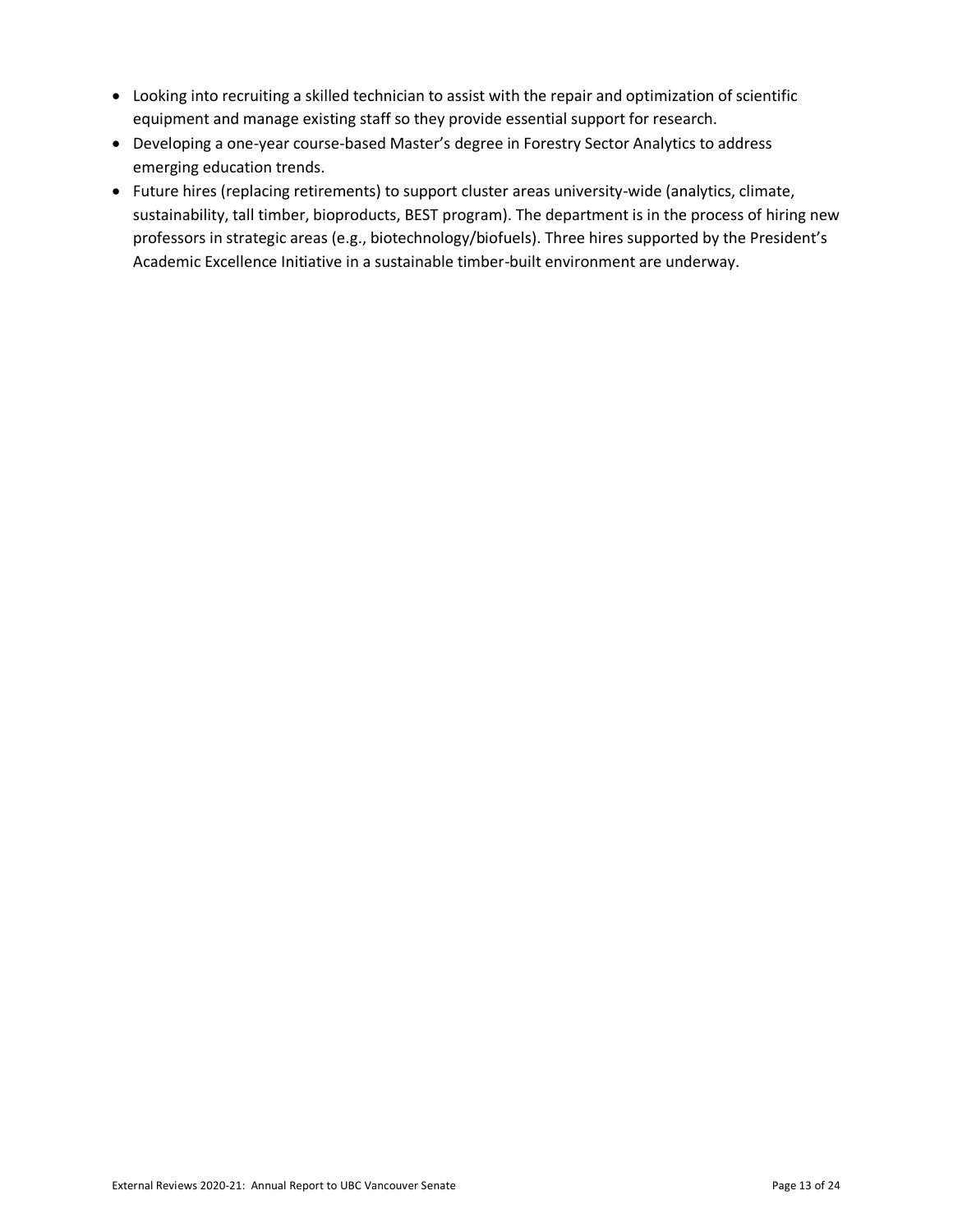- Looking into recruiting a skilled technician to assist with the repair and optimization of scientific equipment and manage existing staff so they provide essential support for research.
- Developing a one-year course-based Master's degree in Forestry Sector Analytics to address emerging education trends.
- Future hires (replacing retirements) to support cluster areas university-wide (analytics, climate, sustainability, tall timber, bioproducts, BEST program). The department is in the process of hiring new professors in strategic areas (e.g., biotechnology/biofuels). Three hires supported by the President's Academic Excellence Initiative in a sustainable timber-built environment are underway.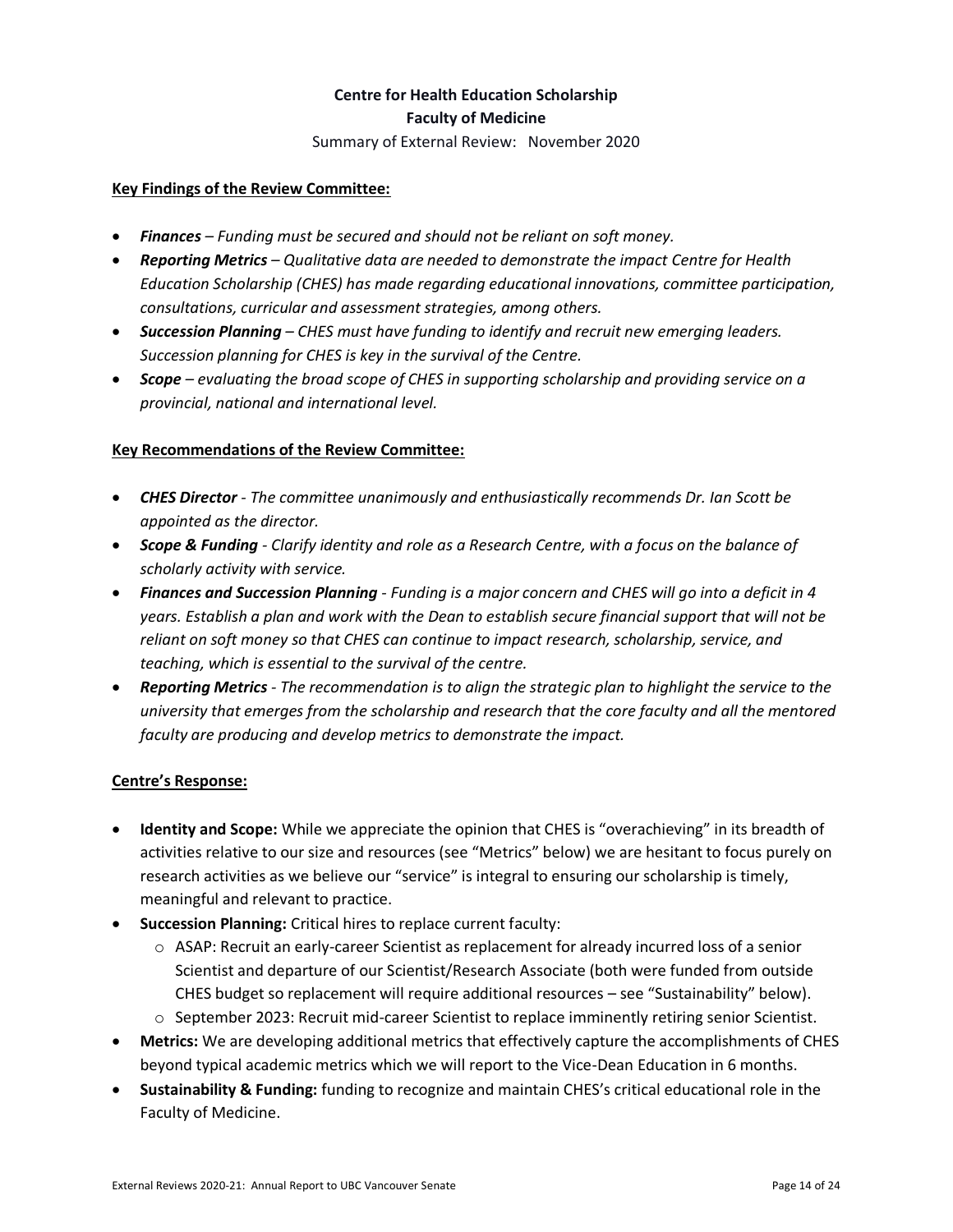## **Centre for Health Education Scholarship Faculty of Medicine**

Summary of External Review: November 2020

#### **Key Findings of the Review Committee:**

- *Finances – Funding must be secured and should not be reliant on soft money.*
- *Reporting Metrics – Qualitative data are needed to demonstrate the impact Centre for Health Education Scholarship (CHES) has made regarding educational innovations, committee participation, consultations, curricular and assessment strategies, among others.*
- *Succession Planning – CHES must have funding to identify and recruit new emerging leaders. Succession planning for CHES is key in the survival of the Centre.*
- *Scope – evaluating the broad scope of CHES in supporting scholarship and providing service on a provincial, national and international level.*

#### **Key Recommendations of the Review Committee:**

- *CHES Director - The committee unanimously and enthusiastically recommends Dr. Ian Scott be appointed as the director.*
- *Scope & Funding - Clarify identity and role as a Research Centre, with a focus on the balance of scholarly activity with service.*
- *Finances and Succession Planning - Funding is a major concern and CHES will go into a deficit in 4 years. Establish a plan and work with the Dean to establish secure financial support that will not be reliant on soft money so that CHES can continue to impact research, scholarship, service, and teaching, which is essential to the survival of the centre.*
- *Reporting Metrics - The recommendation is to align the strategic plan to highlight the service to the university that emerges from the scholarship and research that the core faculty and all the mentored faculty are producing and develop metrics to demonstrate the impact.*

#### **Centre's Response:**

- **Identity and Scope:** While we appreciate the opinion that CHES is "overachieving" in its breadth of activities relative to our size and resources (see "Metrics" below) we are hesitant to focus purely on research activities as we believe our "service" is integral to ensuring our scholarship is timely, meaningful and relevant to practice.
- **Succession Planning:** Critical hires to replace current faculty:
	- $\circ$  ASAP: Recruit an early-career Scientist as replacement for already incurred loss of a senior Scientist and departure of our Scientist/Research Associate (both were funded from outside CHES budget so replacement will require additional resources – see "Sustainability" below).
	- o September 2023: Recruit mid-career Scientist to replace imminently retiring senior Scientist.
- **Metrics:** We are developing additional metrics that effectively capture the accomplishments of CHES beyond typical academic metrics which we will report to the Vice-Dean Education in 6 months.
- **Sustainability & Funding:** funding to recognize and maintain CHES's critical educational role in the Faculty of Medicine.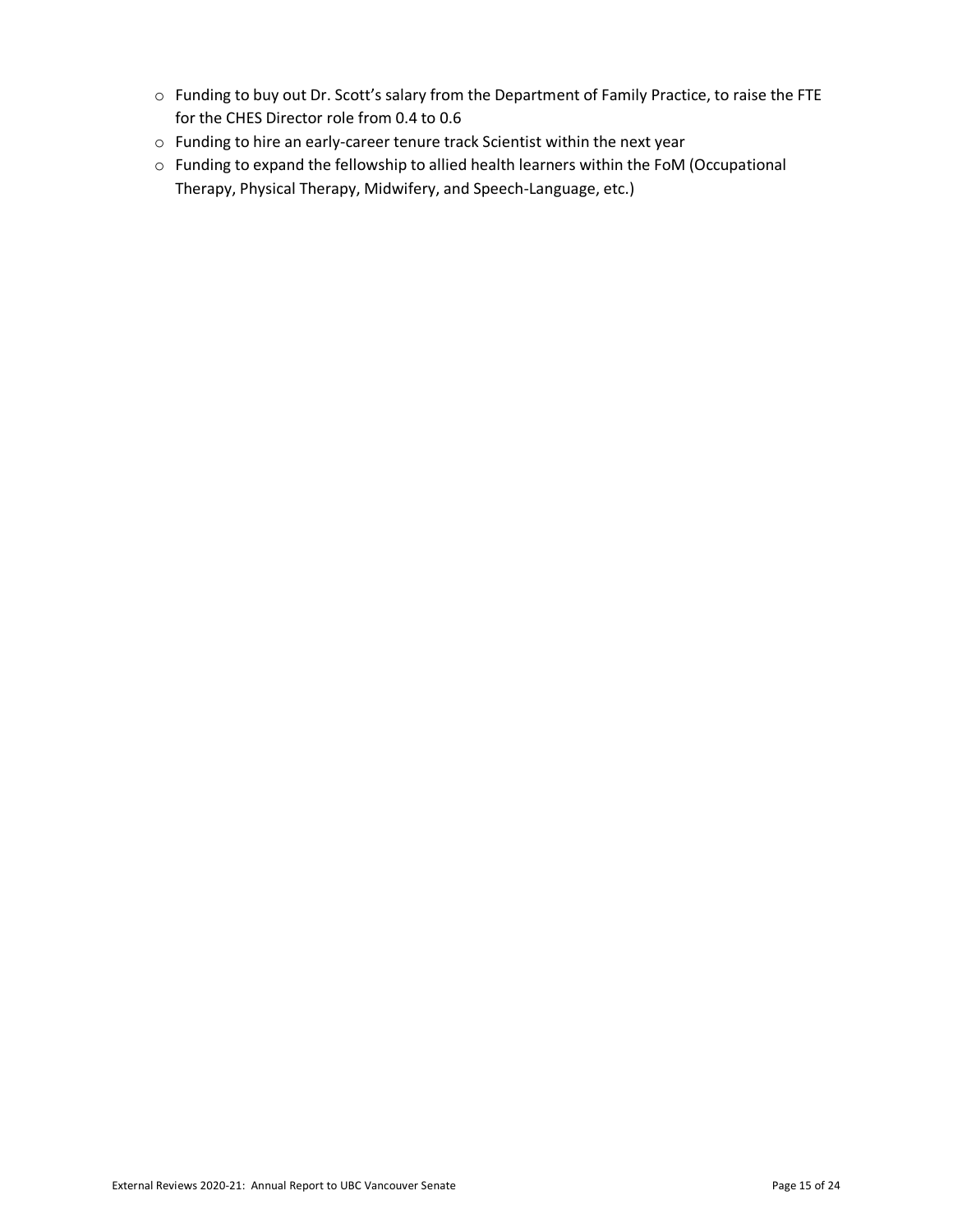- o Funding to buy out Dr. Scott's salary from the Department of Family Practice, to raise the FTE for the CHES Director role from 0.4 to 0.6
- o Funding to hire an early-career tenure track Scientist within the next year
- o Funding to expand the fellowship to allied health learners within the FoM (Occupational Therapy, Physical Therapy, Midwifery, and Speech-Language, etc.)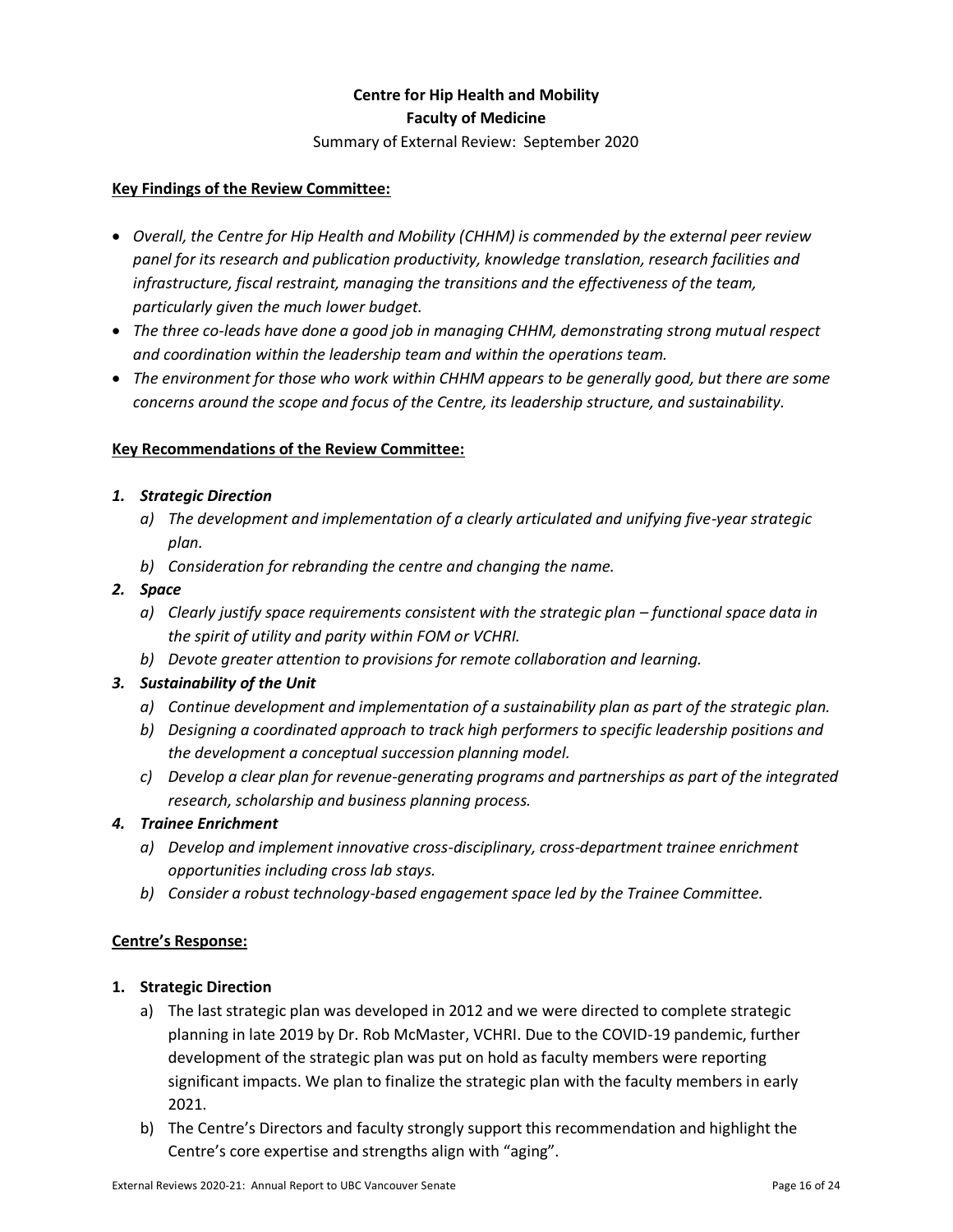## **Centre for Hip Health and Mobility Faculty of Medicine**

Summary of External Review: September 2020

#### **Key Findings of the Review Committee:**

- *Overall, the Centre for Hip Health and Mobility (CHHM) is commended by the external peer review panel for its research and publication productivity, knowledge translation, research facilities and infrastructure, fiscal restraint, managing the transitions and the effectiveness of the team, particularly given the much lower budget.*
- *The three co-leads have done a good job in managing CHHM, demonstrating strong mutual respect and coordination within the leadership team and within the operations team.*
- *The environment for those who work within CHHM appears to be generally good, but there are some concerns around the scope and focus of the Centre, its leadership structure, and sustainability.*

#### **Key Recommendations of the Review Committee:**

## *1. Strategic Direction*

- *a) The development and implementation of a clearly articulated and unifying five-year strategic plan.*
- *b) Consideration for rebranding the centre and changing the name.*
- *2. Space*
	- *a) Clearly justify space requirements consistent with the strategic plan – functional space data in the spirit of utility and parity within FOM or VCHRI.*
	- *b) Devote greater attention to provisions for remote collaboration and learning.*

## *3. Sustainability of the Unit*

- *a) Continue development and implementation of a sustainability plan as part of the strategic plan.*
- *b) Designing a coordinated approach to track high performers to specific leadership positions and the development a conceptual succession planning model.*
- *c) Develop a clear plan for revenue-generating programs and partnerships as part of the integrated research, scholarship and business planning process.*

#### *4. Trainee Enrichment*

- *a) Develop and implement innovative cross-disciplinary, cross-department trainee enrichment opportunities including cross lab stays.*
- *b) Consider a robust technology-based engagement space led by the Trainee Committee.*

#### **Centre's Response:**

#### **1. Strategic Direction**

- a) The last strategic plan was developed in 2012 and we were directed to complete strategic planning in late 2019 by Dr. Rob McMaster, VCHRI. Due to the COVID-19 pandemic, further development of the strategic plan was put on hold as faculty members were reporting significant impacts. We plan to finalize the strategic plan with the faculty members in early 2021.
- b) The Centre's Directors and faculty strongly support this recommendation and highlight the Centre's core expertise and strengths align with "aging".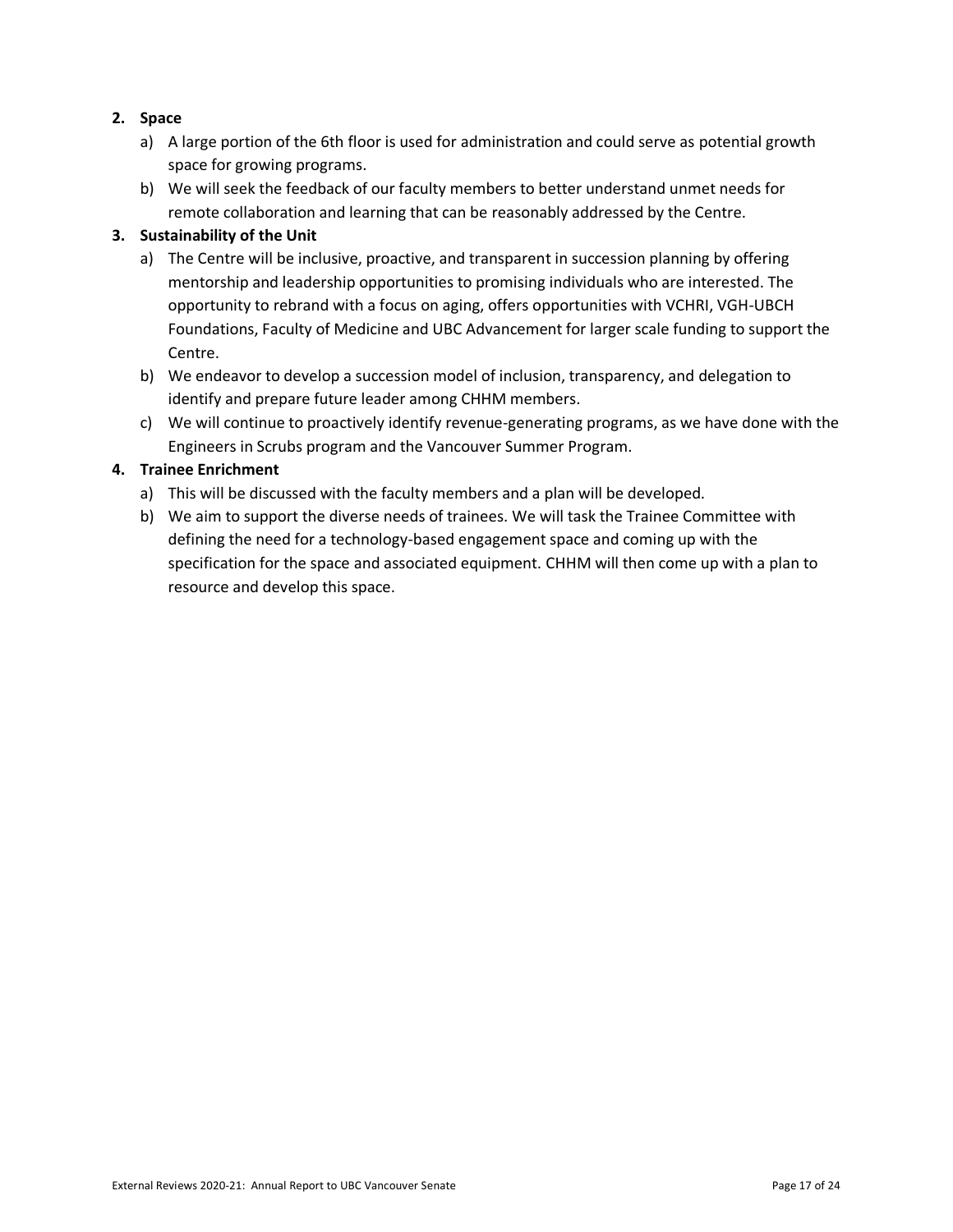## **2. Space**

- a) A large portion of the 6th floor is used for administration and could serve as potential growth space for growing programs.
- b) We will seek the feedback of our faculty members to better understand unmet needs for remote collaboration and learning that can be reasonably addressed by the Centre.

#### **3. Sustainability of the Unit**

- a) The Centre will be inclusive, proactive, and transparent in succession planning by offering mentorship and leadership opportunities to promising individuals who are interested. The opportunity to rebrand with a focus on aging, offers opportunities with VCHRI, VGH-UBCH Foundations, Faculty of Medicine and UBC Advancement for larger scale funding to support the Centre.
- b) We endeavor to develop a succession model of inclusion, transparency, and delegation to identify and prepare future leader among CHHM members.
- c) We will continue to proactively identify revenue-generating programs, as we have done with the Engineers in Scrubs program and the Vancouver Summer Program.

## **4. Trainee Enrichment**

- a) This will be discussed with the faculty members and a plan will be developed.
- b) We aim to support the diverse needs of trainees. We will task the Trainee Committee with defining the need for a technology-based engagement space and coming up with the specification for the space and associated equipment. CHHM will then come up with a plan to resource and develop this space.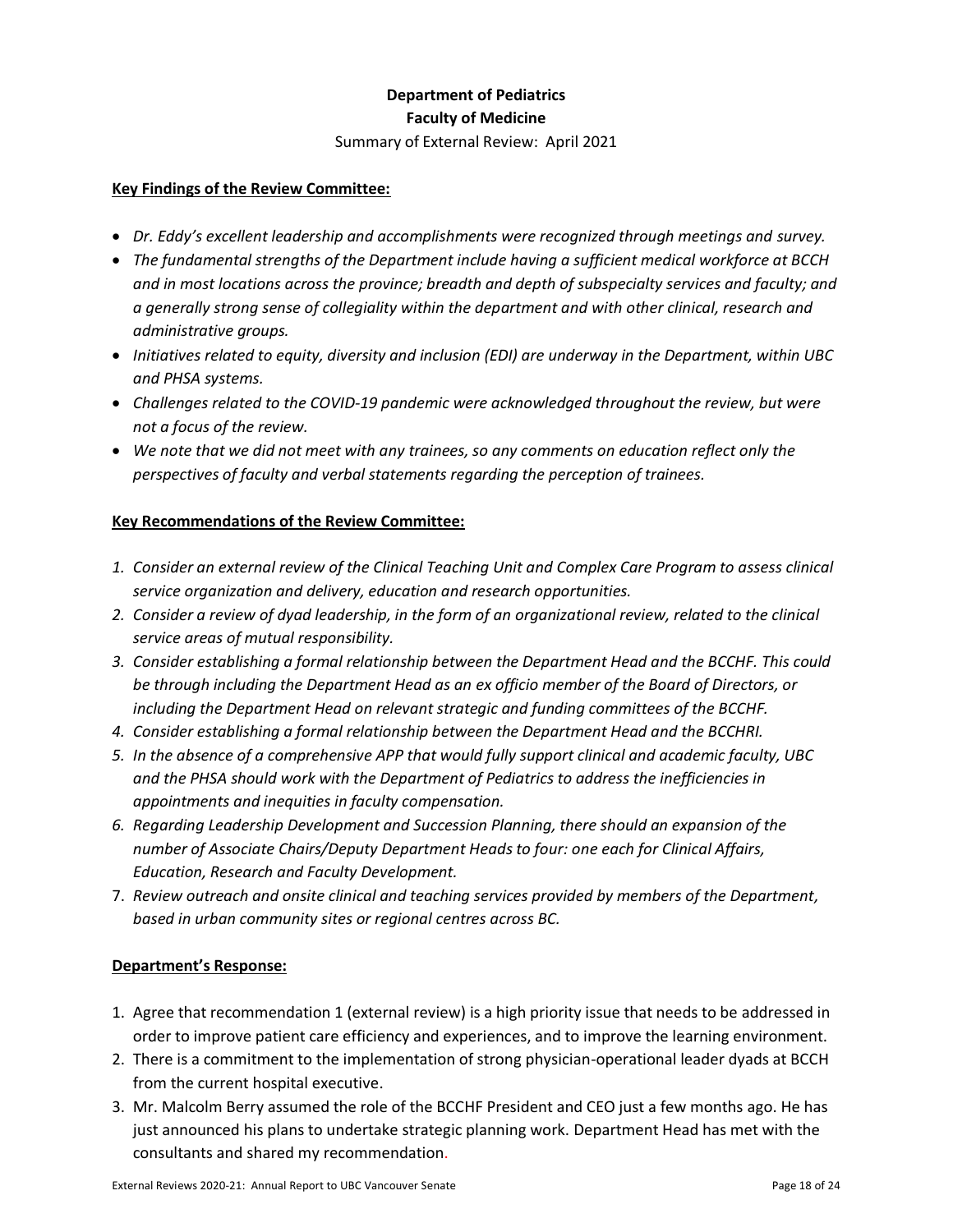# **Department of Pediatrics Faculty of Medicine**

Summary of External Review: April 2021

#### **Key Findings of the Review Committee:**

- *Dr. Eddy's excellent leadership and accomplishments were recognized through meetings and survey.*
- *The fundamental strengths of the Department include having a sufficient medical workforce at BCCH and in most locations across the province; breadth and depth of subspecialty services and faculty; and a generally strong sense of collegiality within the department and with other clinical, research and administrative groups.*
- *Initiatives related to equity, diversity and inclusion (EDI) are underway in the Department, within UBC and PHSA systems.*
- *Challenges related to the COVID‐19 pandemic were acknowledged throughout the review, but were not a focus of the review.*
- *We note that we did not meet with any trainees, so any comments on education reflect only the perspectives of faculty and verbal statements regarding the perception of trainees.*

## **Key Recommendations of the Review Committee:**

- *1. Consider an external review of the Clinical Teaching Unit and Complex Care Program to assess clinical service organization and delivery, education and research opportunities.*
- *2. Consider a review of dyad leadership, in the form of an organizational review, related to the clinical service areas of mutual responsibility.*
- *3. Consider establishing a formal relationship between the Department Head and the BCCHF. This could be through including the Department Head as an ex officio member of the Board of Directors, or including the Department Head on relevant strategic and funding committees of the BCCHF.*
- *4. Consider establishing a formal relationship between the Department Head and the BCCHRI.*
- *5. In the absence of a comprehensive APP that would fully support clinical and academic faculty, UBC and the PHSA should work with the Department of Pediatrics to address the inefficiencies in appointments and inequities in faculty compensation.*
- *6. Regarding Leadership Development and Succession Planning, there should an expansion of the number of Associate Chairs/Deputy Department Heads to four: one each for Clinical Affairs, Education, Research and Faculty Development.*
- 7. *Review outreach and onsite clinical and teaching services provided by members of the Department, based in urban community sites or regional centres across BC.*

- 1. Agree that recommendation 1 (external review) is a high priority issue that needs to be addressed in order to improve patient care efficiency and experiences, and to improve the learning environment.
- 2. There is a commitment to the implementation of strong physician-operational leader dyads at BCCH from the current hospital executive.
- 3. Mr. Malcolm Berry assumed the role of the BCCHF President and CEO just a few months ago. He has just announced his plans to undertake strategic planning work. Department Head has met with the consultants and shared my recommendation.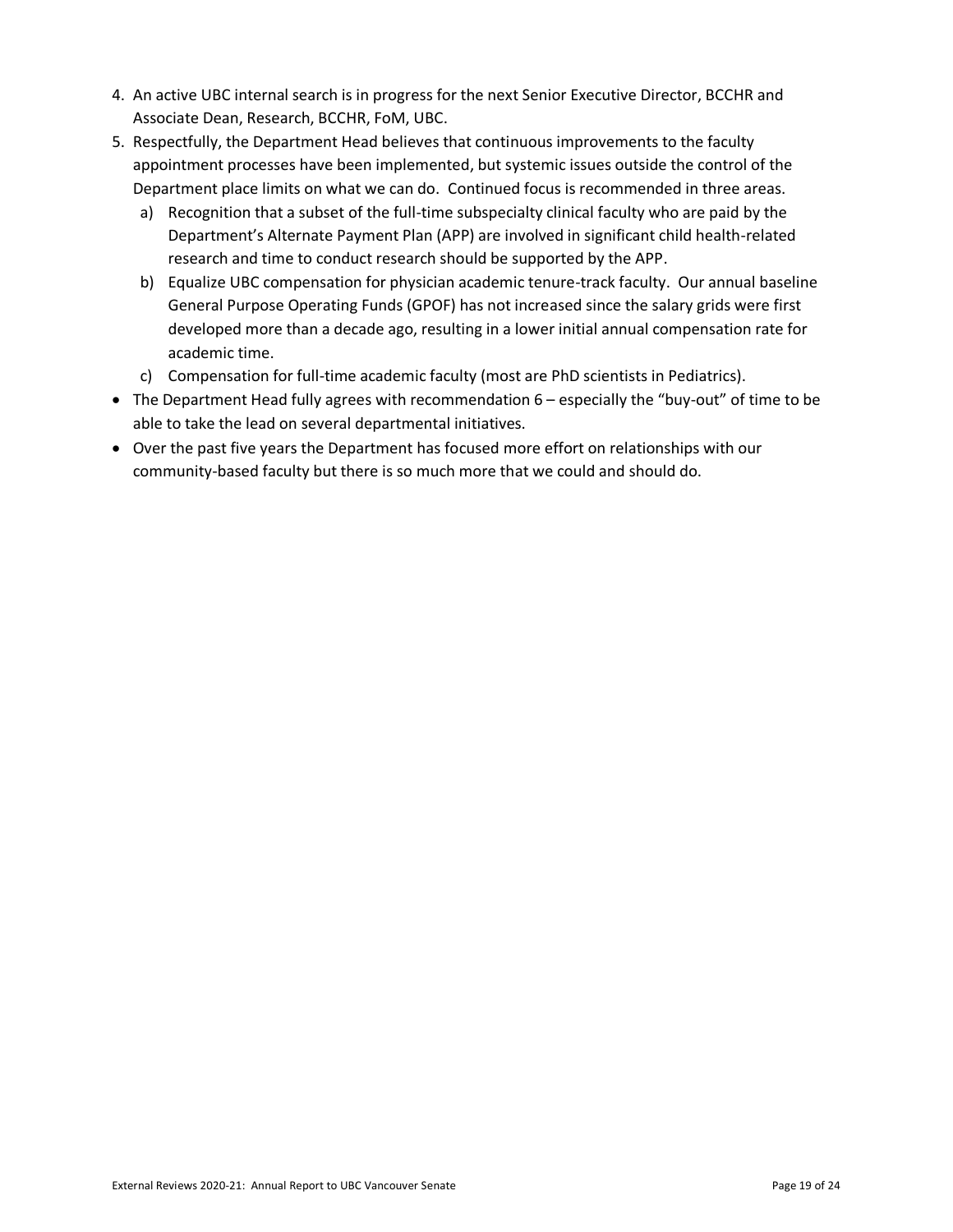- 4. An active UBC internal search is in progress for the next Senior Executive Director, BCCHR and Associate Dean, Research, BCCHR, FoM, UBC.
- 5. Respectfully, the Department Head believes that continuous improvements to the faculty appointment processes have been implemented, but systemic issues outside the control of the Department place limits on what we can do. Continued focus is recommended in three areas.
	- a) Recognition that a subset of the full-time subspecialty clinical faculty who are paid by the Department's Alternate Payment Plan (APP) are involved in significant child health-related research and time to conduct research should be supported by the APP.
	- b) Equalize UBC compensation for physician academic tenure-track faculty. Our annual baseline General Purpose Operating Funds (GPOF) has not increased since the salary grids were first developed more than a decade ago, resulting in a lower initial annual compensation rate for academic time.
	- c) Compensation for full-time academic faculty (most are PhD scientists in Pediatrics).
- The Department Head fully agrees with recommendation 6 especially the "buy-out" of time to be able to take the lead on several departmental initiatives.
- Over the past five years the Department has focused more effort on relationships with our community-based faculty but there is so much more that we could and should do.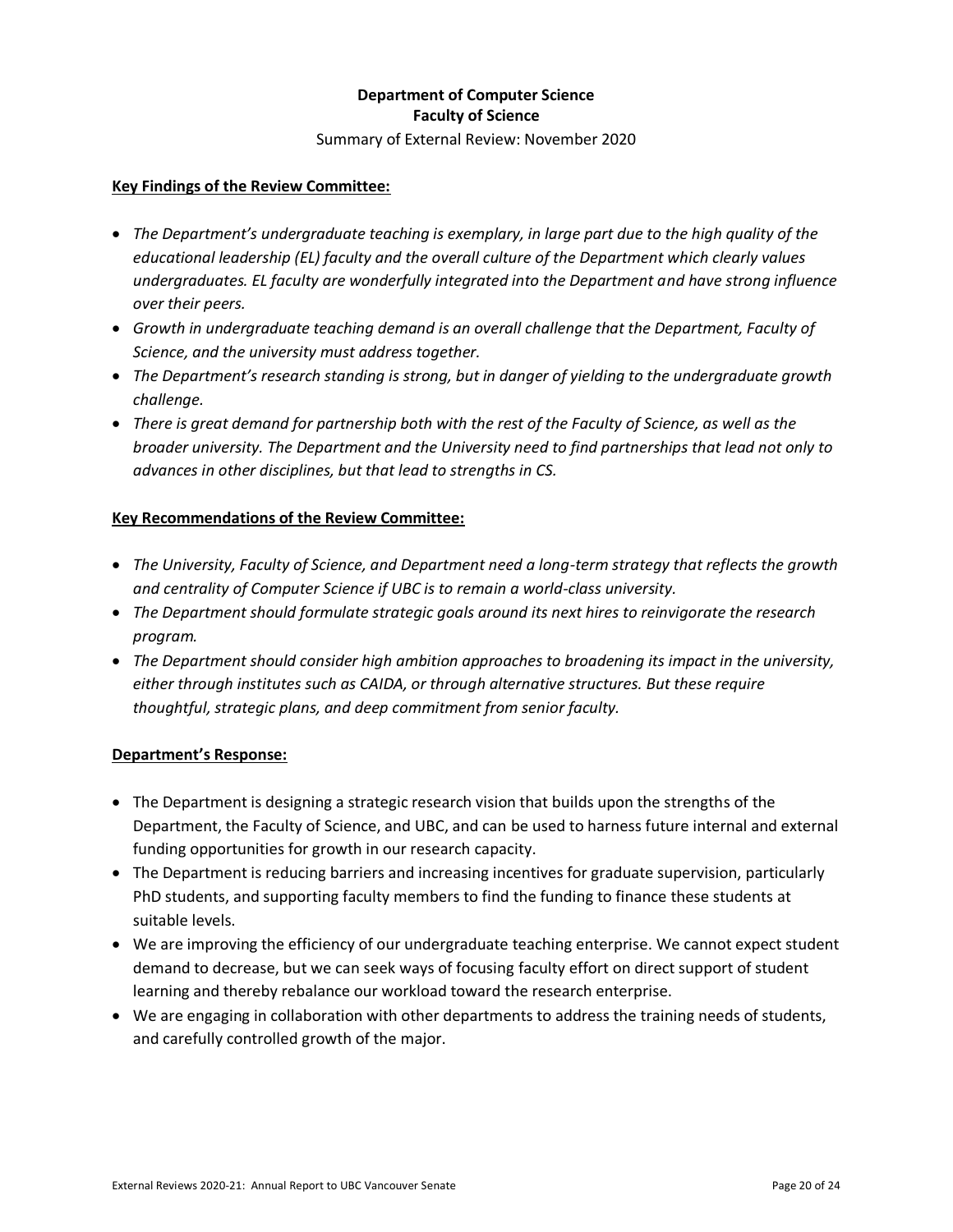## **Department of Computer Science Faculty of Science**

Summary of External Review: November 2020

#### **Key Findings of the Review Committee:**

- *The Department's undergraduate teaching is exemplary, in large part due to the high quality of the educational leadership (EL) faculty and the overall culture of the Department which clearly values undergraduates. EL faculty are wonderfully integrated into the Department and have strong influence over their peers.*
- *Growth in undergraduate teaching demand is an overall challenge that the Department, Faculty of Science, and the university must address together.*
- *The Department's research standing is strong, but in danger of yielding to the undergraduate growth challenge.*
- *There is great demand for partnership both with the rest of the Faculty of Science, as well as the broader university. The Department and the University need to find partnerships that lead not only to advances in other disciplines, but that lead to strengths in CS.*

## **Key Recommendations of the Review Committee:**

- *The University, Faculty of Science, and Department need a long-term strategy that reflects the growth and centrality of Computer Science if UBC is to remain a world-class university.*
- *The Department should formulate strategic goals around its next hires to reinvigorate the research program.*
- *The Department should consider high ambition approaches to broadening its impact in the university, either through institutes such as CAIDA, or through alternative structures. But these require thoughtful, strategic plans, and deep commitment from senior faculty.*

- The Department is designing a strategic research vision that builds upon the strengths of the Department, the Faculty of Science, and UBC, and can be used to harness future internal and external funding opportunities for growth in our research capacity.
- The Department is reducing barriers and increasing incentives for graduate supervision, particularly PhD students, and supporting faculty members to find the funding to finance these students at suitable levels.
- We are improving the efficiency of our undergraduate teaching enterprise. We cannot expect student demand to decrease, but we can seek ways of focusing faculty effort on direct support of student learning and thereby rebalance our workload toward the research enterprise.
- We are engaging in collaboration with other departments to address the training needs of students, and carefully controlled growth of the major.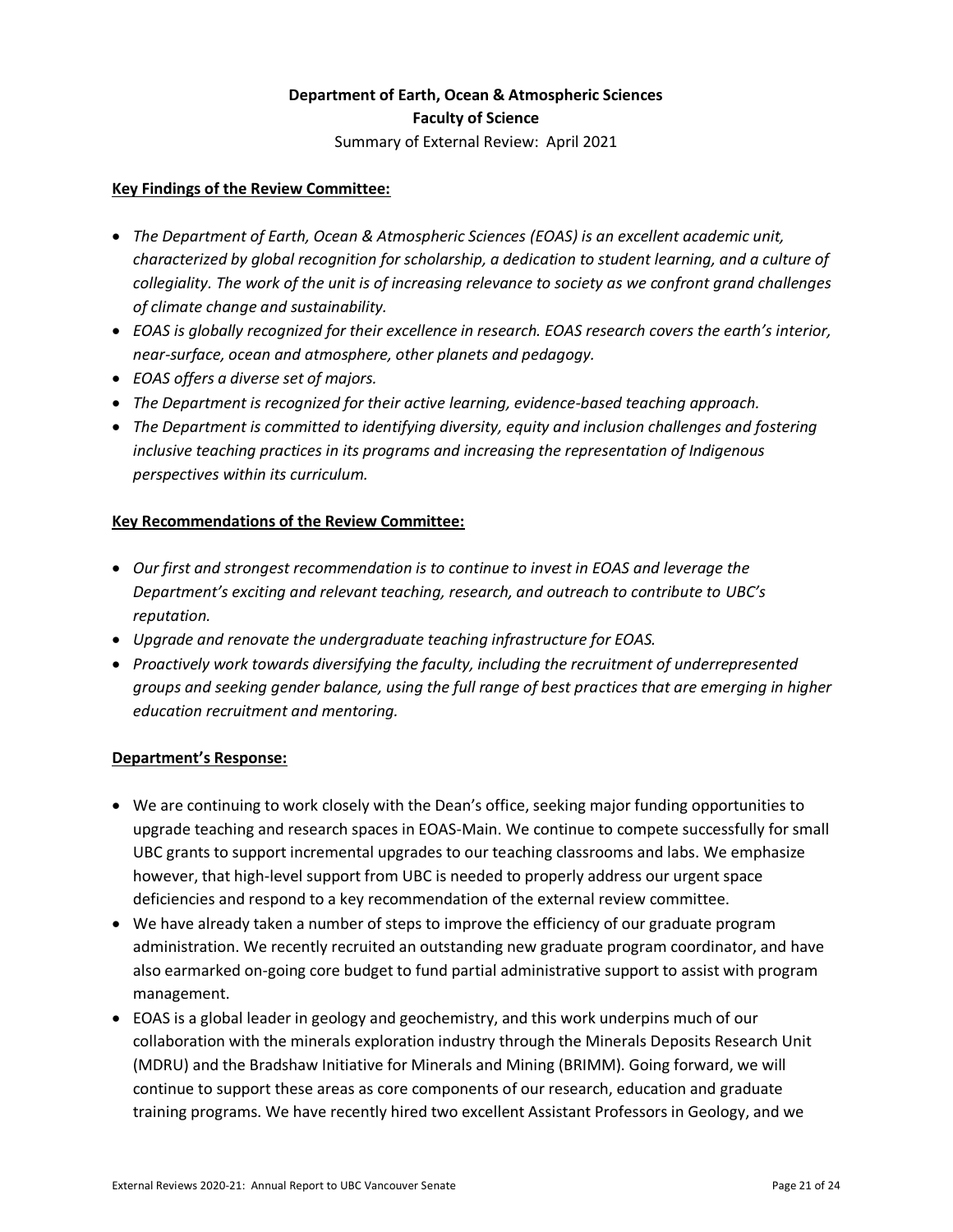# **Department of Earth, Ocean & Atmospheric Sciences Faculty of Science**

Summary of External Review: April 2021

#### **Key Findings of the Review Committee:**

- *The Department of Earth, Ocean & Atmospheric Sciences (EOAS) is an excellent academic unit, characterized by global recognition for scholarship, a dedication to student learning, and a culture of collegiality. The work of the unit is of increasing relevance to society as we confront grand challenges of climate change and sustainability.*
- *EOAS is globally recognized for their excellence in research. EOAS research covers the earth's interior, near-surface, ocean and atmosphere, other planets and pedagogy.*
- *EOAS offers a diverse set of majors.*
- *The Department is recognized for their active learning, evidence-based teaching approach.*
- *The Department is committed to identifying diversity, equity and inclusion challenges and fostering inclusive teaching practices in its programs and increasing the representation of Indigenous perspectives within its curriculum.*

## **Key Recommendations of the Review Committee:**

- *Our first and strongest recommendation is to continue to invest in EOAS and leverage the Department's exciting and relevant teaching, research, and outreach to contribute to UBC's reputation.*
- *Upgrade and renovate the undergraduate teaching infrastructure for EOAS.*
- *Proactively work towards diversifying the faculty, including the recruitment of underrepresented groups and seeking gender balance, using the full range of best practices that are emerging in higher education recruitment and mentoring.*

- We are continuing to work closely with the Dean's office, seeking major funding opportunities to upgrade teaching and research spaces in EOAS-Main. We continue to compete successfully for small UBC grants to support incremental upgrades to our teaching classrooms and labs. We emphasize however, that high-level support from UBC is needed to properly address our urgent space deficiencies and respond to a key recommendation of the external review committee.
- We have already taken a number of steps to improve the efficiency of our graduate program administration. We recently recruited an outstanding new graduate program coordinator, and have also earmarked on-going core budget to fund partial administrative support to assist with program management.
- EOAS is a global leader in geology and geochemistry, and this work underpins much of our collaboration with the minerals exploration industry through the Minerals Deposits Research Unit (MDRU) and the Bradshaw Initiative for Minerals and Mining (BRIMM). Going forward, we will continue to support these areas as core components of our research, education and graduate training programs. We have recently hired two excellent Assistant Professors in Geology, and we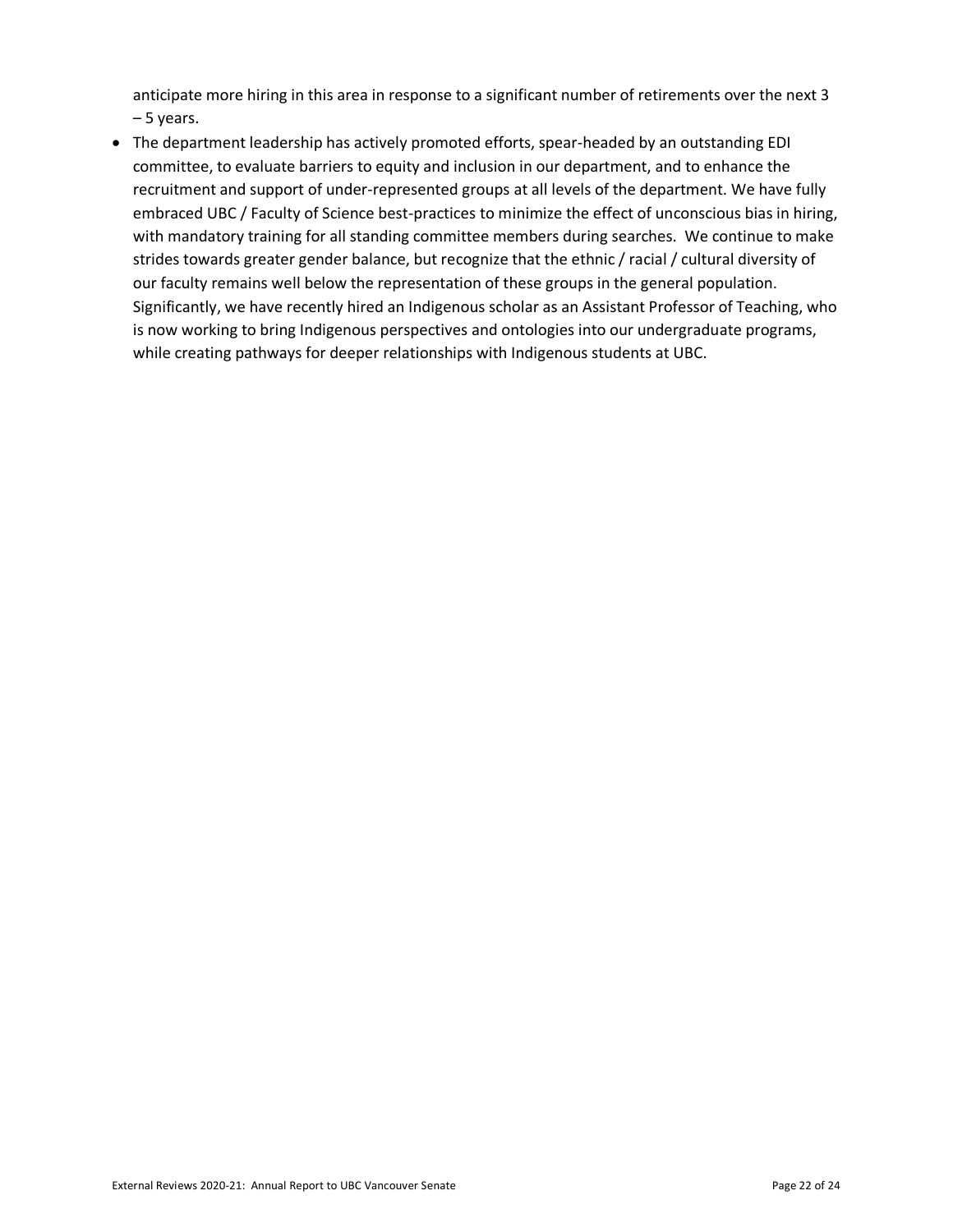anticipate more hiring in this area in response to a significant number of retirements over the next 3 – 5 years.

• The department leadership has actively promoted efforts, spear-headed by an outstanding EDI committee, to evaluate barriers to equity and inclusion in our department, and to enhance the recruitment and support of under-represented groups at all levels of the department. We have fully embraced UBC / Faculty of Science best-practices to minimize the effect of unconscious bias in hiring, with mandatory training for all standing committee members during searches. We continue to make strides towards greater gender balance, but recognize that the ethnic / racial / cultural diversity of our faculty remains well below the representation of these groups in the general population. Significantly, we have recently hired an Indigenous scholar as an Assistant Professor of Teaching, who is now working to bring Indigenous perspectives and ontologies into our undergraduate programs, while creating pathways for deeper relationships with Indigenous students at UBC.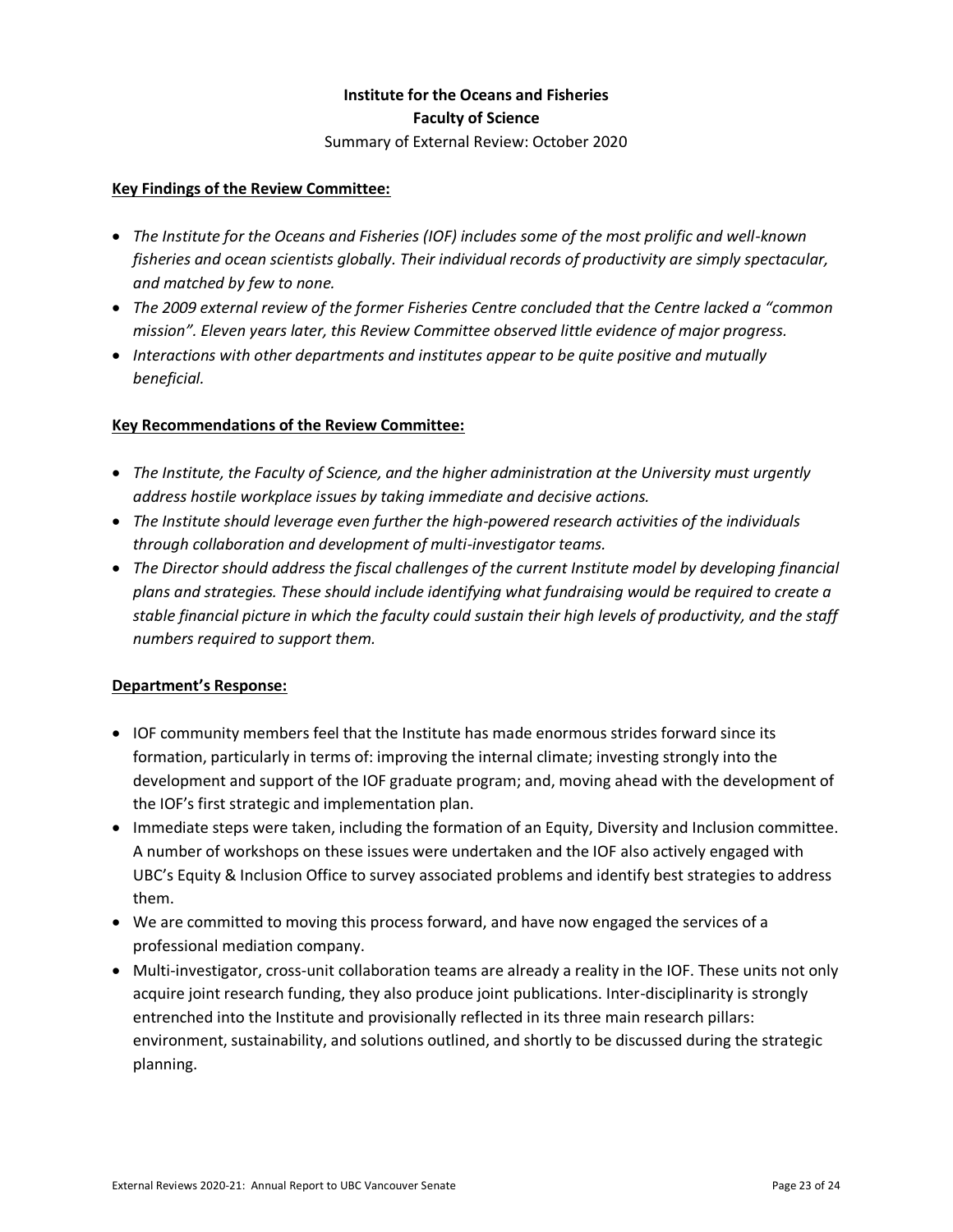## **Institute for the Oceans and Fisheries Faculty of Science**

Summary of External Review: October 2020

#### **Key Findings of the Review Committee:**

- *The Institute for the Oceans and Fisheries (IOF) includes some of the most prolific and well-known fisheries and ocean scientists globally. Their individual records of productivity are simply spectacular, and matched by few to none.*
- *The 2009 external review of the former Fisheries Centre concluded that the Centre lacked a "common mission". Eleven years later, this Review Committee observed little evidence of major progress.*
- *Interactions with other departments and institutes appear to be quite positive and mutually beneficial.*

#### **Key Recommendations of the Review Committee:**

- *The Institute, the Faculty of Science, and the higher administration at the University must urgently address hostile workplace issues by taking immediate and decisive actions.*
- *The Institute should leverage even further the high-powered research activities of the individuals through collaboration and development of multi-investigator teams.*
- *The Director should address the fiscal challenges of the current Institute model by developing financial plans and strategies. These should include identifying what fundraising would be required to create a stable financial picture in which the faculty could sustain their high levels of productivity, and the staff numbers required to support them.*

- IOF community members feel that the Institute has made enormous strides forward since its formation, particularly in terms of: improving the internal climate; investing strongly into the development and support of the IOF graduate program; and, moving ahead with the development of the IOF's first strategic and implementation plan.
- Immediate steps were taken, including the formation of an Equity, Diversity and Inclusion committee. A number of workshops on these issues were undertaken and the IOF also actively engaged with UBC's Equity & Inclusion Office to survey associated problems and identify best strategies to address them.
- We are committed to moving this process forward, and have now engaged the services of a professional mediation company.
- Multi-investigator, cross-unit collaboration teams are already a reality in the IOF. These units not only acquire joint research funding, they also produce joint publications. Inter-disciplinarity is strongly entrenched into the Institute and provisionally reflected in its three main research pillars: environment, sustainability, and solutions outlined, and shortly to be discussed during the strategic planning.